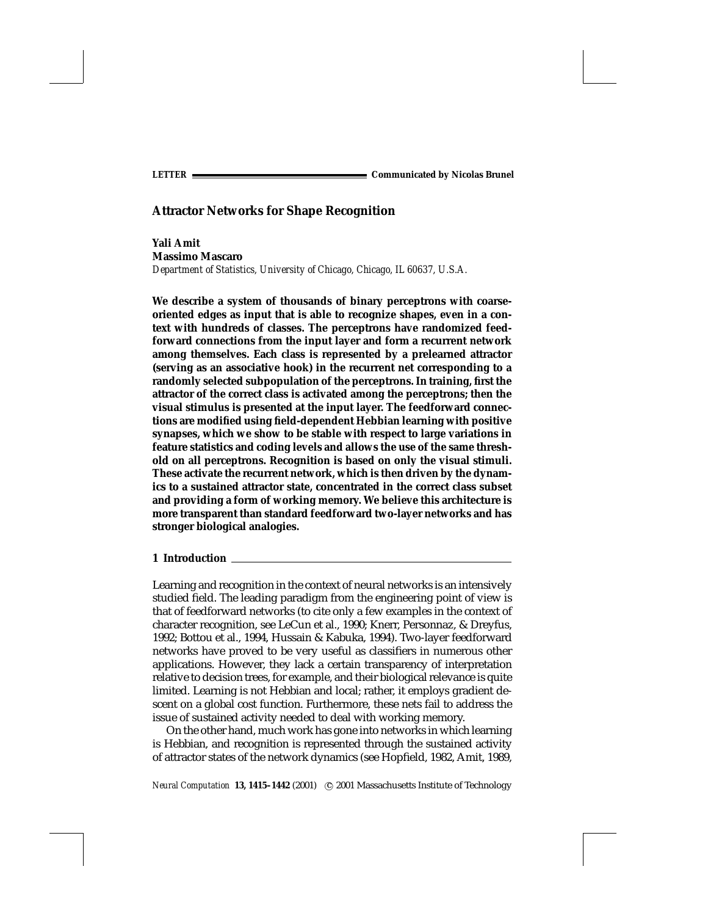*LETTER* **Communicated by Nicolas Brunel**

# **Attractor Networks for Shape Recognition**

**Yali Amit Massimo Mascaro** *Department of Statistics, University of Chicago, Chicago, IL 60637, U.S.A.*

**We describe a system of thousands of binary perceptrons with coarseoriented edges as input that is able to recognize shapes, even in a context with hundreds of classes. The perceptrons have randomized feedforward connections from the input layer and form a recurrent network among themselves. Each class is represented by a prelearned attractor (serving as an associative hook) in the recurrent net corresponding to a randomly selected subpopulation of the perceptrons. In training, first the attractor of the correct class is activated among the perceptrons; then the visual stimulus is presented at the input layer. The feedforward connections are modified using field-dependent Hebbian learning with positive synapses, which we show to be stable with respect to large variations in feature statistics and coding levels and allows the use of the same threshold on all perceptrons. Recognition is based on only the visual stimuli. These activate the recurrent network, which is then driven by the dynamics to a sustained attractor state, concentrated in the correct class subset and providing a form of working memory. We believe this architecture is more transparent than standard feedforward two-layer networks and has stronger biological analogies.**

# **1 Introduction**

Learning and recognition in the context of neural networks is an intensively studied field. The leading paradigm from the engineering point of view is that of feedforward networks (to cite only a few examples in the context of character recognition, see LeCun et al., 1990; Knerr, Personnaz, & Dreyfus, 1992; Bottou et al., 1994, Hussain & Kabuka, 1994). Two-layer feedforward networks have proved to be very useful as classifiers in numerous other applications. However, they lack a certain transparency of interpretation relative to decision trees, for example, and their biological relevance is quite limited. Learning is not Hebbian and local; rather, it employs gradient descent on a global cost function. Furthermore, these nets fail to address the issue of sustained activity needed to deal with working memory.

On the other hand, much work has gone into networks in which learning is Hebbian, and recognition is represented through the sustained activity of attractor states of the network dynamics (see Hopfield, 1982, Amit, 1989,

*Neural Computation* 13, 1415-1442 (2001) © 2001 Massachusetts Institute of Technology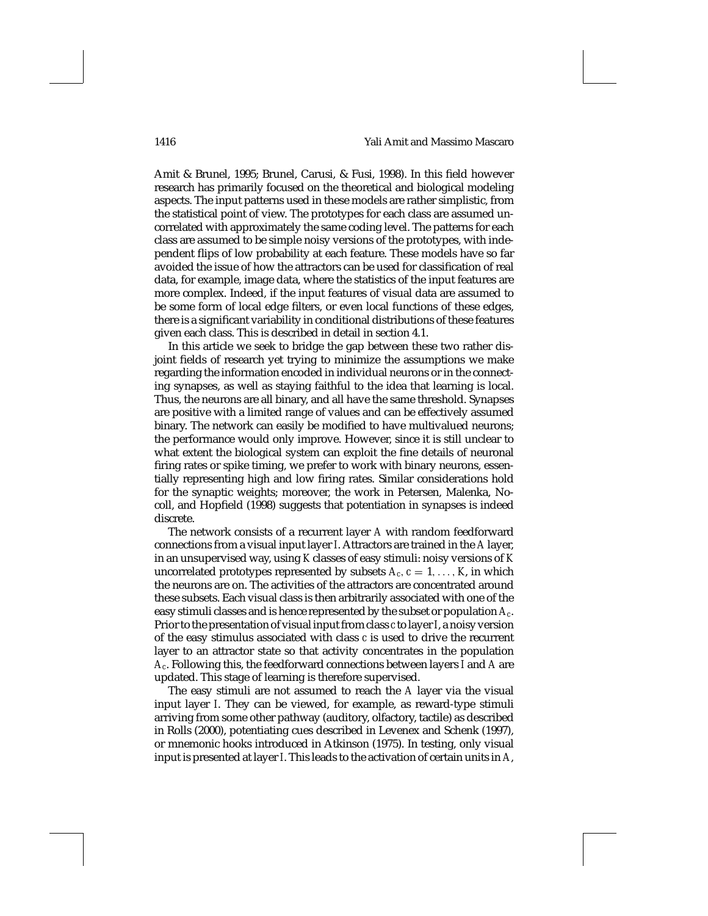## 1416 Yali Amit and Massimo Mascaro

Amit & Brunel, 1995; Brunel, Carusi, & Fusi, 1998). In this field however research has primarily focused on the theoretical and biological modeling aspects. The input patterns used in these models are rather simplistic, from the statistical point of view. The prototypes for each class are assumed uncorrelated with approximately the same coding level. The patterns for each class are assumed to be simple noisy versions of the prototypes, with independent flips of low probability at each feature. These models have so far avoided the issue of how the attractors can be used for classification of real data, for example, image data, where the statistics of the input features are more complex. Indeed, if the input features of visual data are assumed to be some form of local edge filters, or even local functions of these edges, there is a significant variability in conditional distributions of these features given each class. This is described in detail in section 4.1.

In this article we seek to bridge the gap between these two rather disjoint fields of research yet trying to minimize the assumptions we make regarding the information encoded in individual neurons or in the connecting synapses, as well as staying faithful to the idea that learning is local. Thus, the neurons are all binary, and all have the same threshold. Synapses are positive with a limited range of values and can be effectively assumed binary. The network can easily be modified to have multivalued neurons; the performance would only improve. However, since it is still unclear to what extent the biological system can exploit the fine details of neuronal firing rates or spike timing, we prefer to work with binary neurons, essentially representing high and low firing rates. Similar considerations hold for the synaptic weights; moreover, the work in Petersen, Malenka, Nocoll, and Hopfield (1998) suggests that potentiation in synapses is indeed discrete.

The network consists of a recurrent layer *A* with random feedforward connections from a visual input layer *I*. Attractors are trained in the *A* layer, in an unsupervised way, using *K* classes of easy stimuli: noisy versions of *K* uncorrelated prototypes represented by subsets  $A_c$ ,  $c = 1, \ldots, K$ , in which the neurons are on. The activities of the attractors are concentrated around these subsets. Each visual class is then arbitrarily associated with one of the easy stimuli classes and is hence represented by the subset or population *Ac*. Prior to the presentation of visual input from class *c* to layer*I*, a noisy version of the easy stimulus associated with class *c* is used to drive the recurrent layer to an attractor state so that activity concentrates in the population *Ac*. Following this, the feedforward connections between layers *I* and *A* are updated. This stage of learning is therefore supervised.

The easy stimuli are not assumed to reach the *A* layer via the visual input layer *I*. They can be viewed, for example, as reward-type stimuli arriving from some other pathway (auditory, olfactory, tactile) as described in Rolls (2000), potentiating cues described in Levenex and Schenk (1997), or mnemonic hooks introduced in Atkinson (1975). In testing, only visual input is presented at layer*I*. This leads to the activation of certain units in *A*,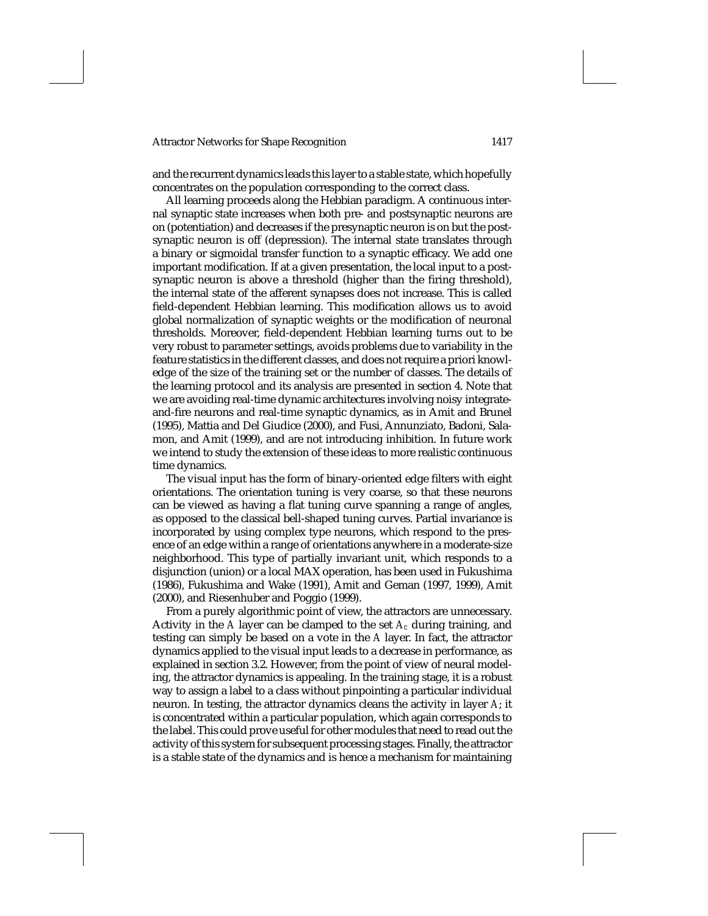and the recurrent dynamics leads this layer to a stable state, which hopefully concentrates on the population corresponding to the correct class.

All learning proceeds along the Hebbian paradigm. A continuous internal synaptic state increases when both pre- and postsynaptic neurons are on (potentiation) and decreases if the presynaptic neuron is on but the postsynaptic neuron is off (depression). The internal state translates through a binary or sigmoidal transfer function to a synaptic efficacy. We add one important modification. If at a given presentation, the local input to a postsynaptic neuron is above a threshold (higher than the firing threshold), the internal state of the afferent synapses does not increase. This is called field-dependent Hebbian learning. This modification allows us to avoid global normalization of synaptic weights or the modification of neuronal thresholds. Moreover, field-dependent Hebbian learning turns out to be very robust to parameter settings, avoids problems due to variability in the feature statistics in the different classes, and does not require a priori knowledge of the size of the training set or the number of classes. The details of the learning protocol and its analysis are presented in section 4. Note that we are avoiding real-time dynamic architectures involving noisy integrateand-fire neurons and real-time synaptic dynamics, as in Amit and Brunel (1995), Mattia and Del Giudice (2000), and Fusi, Annunziato, Badoni, Salamon, and Amit (1999), and are not introducing inhibition. In future work we intend to study the extension of these ideas to more realistic continuous time dynamics.

The visual input has the form of binary-oriented edge filters with eight orientations. The orientation tuning is very coarse, so that these neurons can be viewed as having a flat tuning curve spanning a range of angles, as opposed to the classical bell-shaped tuning curves. Partial invariance is incorporated by using complex type neurons, which respond to the presence of an edge within a range of orientations anywhere in a moderate-size neighborhood. This type of partially invariant unit, which responds to a disjunction (union) or a local MAX operation, has been used in Fukushima (1986), Fukushima and Wake (1991), Amit and Geman (1997, 1999), Amit (2000), and Riesenhuber and Poggio (1999).

From a purely algorithmic point of view, the attractors are unnecessary. Activity in the *A* layer can be clamped to the set *Ac* during training, and testing can simply be based on a vote in the *A* layer. In fact, the attractor dynamics applied to the visual input leads to a decrease in performance, as explained in section 3.2. However, from the point of view of neural modeling, the attractor dynamics is appealing. In the training stage, it is a robust way to assign a label to a class without pinpointing a particular individual neuron. In testing, the attractor dynamics cleans the activity in layer *A*; it is concentrated within a particular population, which again corresponds to the label. This could prove useful for other modules that need to read out the activity of this system for subsequent processing stages. Finally, the attractor is a stable state of the dynamics and is hence a mechanism for maintaining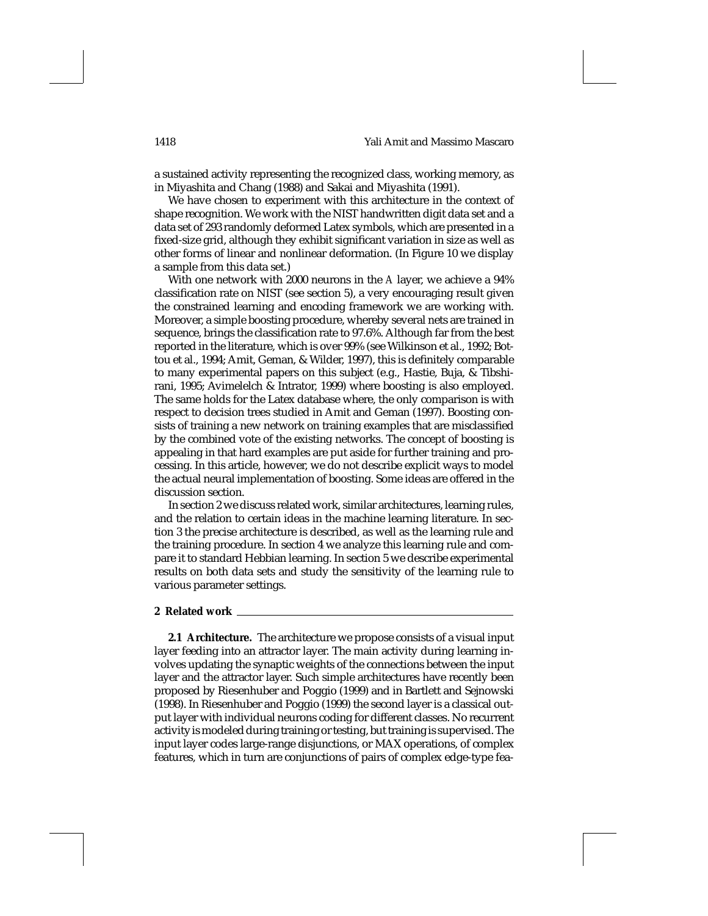a sustained activity representing the recognized class, working memory, as in Miyashita and Chang (1988) and Sakai and Miyashita (1991).

We have chosen to experiment with this architecture in the context of shape recognition. We work with the NIST handwritten digit data set and a data set of 293 randomly deformed Latex symbols, which are presented in a fixed-size grid, although they exhibit significant variation in size as well as other forms of linear and nonlinear deformation. (In Figure 10 we display a sample from this data set.)

With one network with 2000 neurons in the *A* layer, we achieve a 94% classification rate on NIST (see section 5), a very encouraging result given the constrained learning and encoding framework we are working with. Moreover, a simple boosting procedure, whereby several nets are trained in sequence, brings the classification rate to 97.6%. Although far from the best reported in the literature, which is over 99% (see Wilkinson et al., 1992; Bottou et al., 1994; Amit, Geman, & Wilder, 1997), this is definitely comparable to many experimental papers on this subject (e.g., Hastie, Buja, & Tibshirani, 1995; Avimelelch & Intrator, 1999) where boosting is also employed. The same holds for the Latex database where, the only comparison is with respect to decision trees studied in Amit and Geman (1997). Boosting consists of training a new network on training examples that are misclassified by the combined vote of the existing networks. The concept of boosting is appealing in that hard examples are put aside for further training and processing. In this article, however, we do not describe explicit ways to model the actual neural implementation of boosting. Some ideas are offered in the discussion section.

In section 2 we discuss related work, similar architectures, learning rules, and the relation to certain ideas in the machine learning literature. In section 3 the precise architecture is described, as well as the learning rule and the training procedure. In section 4 we analyze this learning rule and compare it to standard Hebbian learning. In section 5 we describe experimental results on both data sets and study the sensitivity of the learning rule to various parameter settings.

### **2 Related work**

**2.1 Architecture.** The architecture we propose consists of a visual input layer feeding into an attractor layer. The main activity during learning involves updating the synaptic weights of the connections between the input layer and the attractor layer. Such simple architectures have recently been proposed by Riesenhuber and Poggio (1999) and in Bartlett and Sejnowski (1998). In Riesenhuber and Poggio (1999) the second layer is a classical output layer with individual neurons coding for different classes. No recurrent activity is modeled during training or testing, but training is supervised. The input layer codes large-range disjunctions, or MAX operations, of complex features, which in turn are conjunctions of pairs of complex edge-type fea-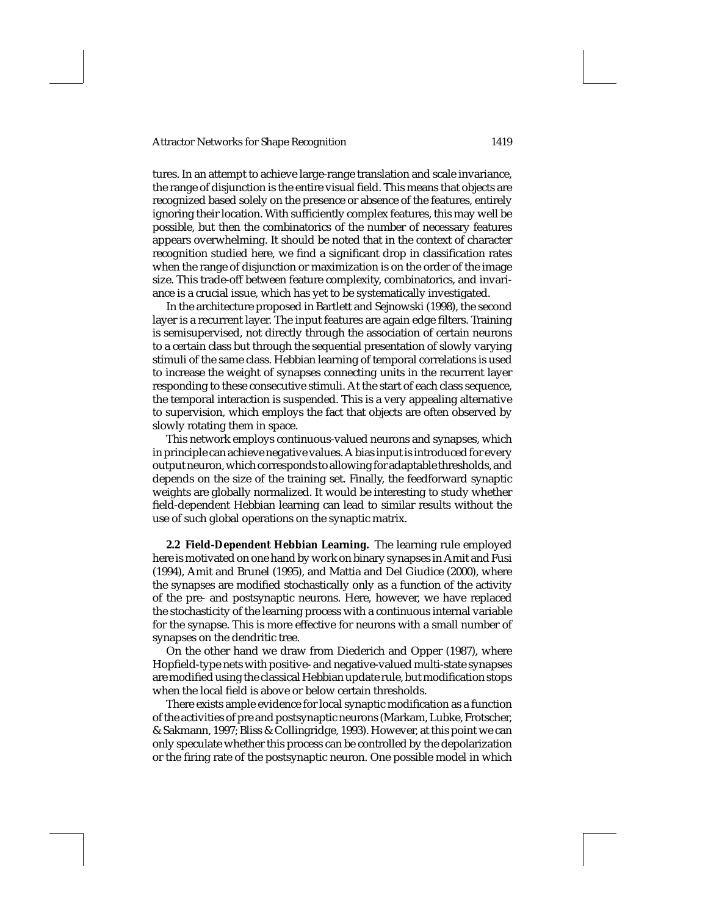tures. In an attempt to achieve large-range translation and scale invariance, the range of disjunction is the entire visual field. This means that objects are recognized based solely on the presence or absence of the features, entirely ignoring their location. With sufficiently complex features, this may well be possible, but then the combinatorics of the number of necessary features appears overwhelming. It should be noted that in the context of character recognition studied here, we find a significant drop in classification rates when the range of disjunction or maximization is on the order of the image size. This trade-off between feature complexity, combinatorics, and invariance is a crucial issue, which has yet to be systematically investigated.

In the architecture proposed in Bartlett and Sejnowski (1998), the second layer is a recurrent layer. The input features are again edge filters. Training is semisupervised, not directly through the association of certain neurons to a certain class but through the sequential presentation of slowly varying stimuli of the same class. Hebbian learning of temporal correlations is used to increase the weight of synapses connecting units in the recurrent layer responding to these consecutive stimuli. At the start of each class sequence, the temporal interaction is suspended. This is a very appealing alternative to supervision, which employs the fact that objects are often observed by slowly rotating them in space.

This network employs continuous-valued neurons and synapses, which in principle can achieve negative values. A bias input is introduced for every output neuron, which corresponds to allowing for adaptable thresholds, and depends on the size of the training set. Finally, the feedforward synaptic weights are globally normalized. It would be interesting to study whether field-dependent Hebbian learning can lead to similar results without the use of such global operations on the synaptic matrix.

**2.2 Field-Dependent Hebbian Learning.** The learning rule employed here is motivated on one hand by work on binary synapses in Amit and Fusi (1994), Amit and Brunel (1995), and Mattia and Del Giudice (2000), where the synapses are modified stochastically only as a function of the activity of the pre- and postsynaptic neurons. Here, however, we have replaced the stochasticity of the learning process with a continuous internal variable for the synapse. This is more effective for neurons with a small number of synapses on the dendritic tree.

On the other hand we draw from Diederich and Opper (1987), where Hopfield-type nets with positive- and negative-valued multi-state synapses are modified using the classical Hebbian update rule, but modification stops when the local field is above or below certain thresholds.

There exists ample evidence for local synaptic modification as a function of the activities of pre and postsynaptic neurons (Markam, Lubke, Frotscher, & Sakmann, 1997; Bliss & Collingridge, 1993). However, at this point we can only speculate whether this process can be controlled by the depolarization or the firing rate of the postsynaptic neuron. One possible model in which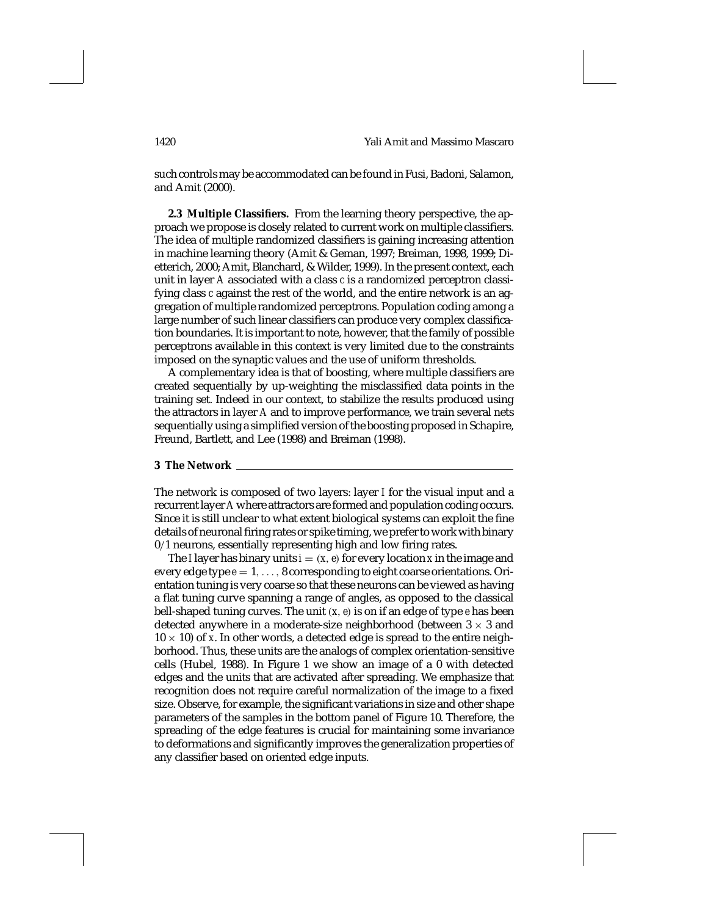such controls may be accommodated can be found in Fusi, Badoni, Salamon, and Amit (2000).

**2.3 Multiple Classifiers.** From the learning theory perspective, the approach we propose is closely related to current work on multiple classifiers. The idea of multiple randomized classifiers is gaining increasing attention in machine learning theory (Amit & Geman, 1997; Breiman, 1998, 1999; Dietterich, 2000; Amit, Blanchard, & Wilder, 1999). In the present context, each unit in layer *A* associated with a class *c* is a randomized perceptron classifying class *c* against the rest of the world, and the entire network is an aggregation of multiple randomized perceptrons. Population coding among a large number of such linear classifiers can produce very complex classification boundaries. It is important to note, however, that the family of possible perceptrons available in this context is very limited due to the constraints imposed on the synaptic values and the use of uniform thresholds.

A complementary idea is that of boosting, where multiple classifiers are created sequentially by up-weighting the misclassified data points in the training set. Indeed in our context, to stabilize the results produced using the attractors in layer *A* and to improve performance, we train several nets sequentially using a simplified version of the boosting proposed in Schapire, Freund, Bartlett, and Lee (1998) and Breiman (1998).

### **3 The Network**

The network is composed of two layers: layer *I* for the visual input and a recurrent layer *A* where attractors are formed and population coding occurs. Since it is still unclear to what extent biological systems can exploit the fine details of neuronal firing rates or spike timing, we prefer to work with binary 0/1 neurons, essentially representing high and low firing rates.

The *I* layer has binary units  $i = (x, e)$  for every location *x* in the image and every edge type *e* = 1,..., 8 corresponding to eight coarse orientations. Orientation tuning is very coarse so that these neurons can be viewed as having a flat tuning curve spanning a range of angles, as opposed to the classical bell-shaped tuning curves. The unit (*x*,*e*) is on if an edge of type *e* has been detected anywhere in a moderate-size neighborhood (between  $3 \times 3$  and  $10 \times 10$ ) of *x*. In other words, a detected edge is spread to the entire neighborhood. Thus, these units are the analogs of complex orientation-sensitive cells (Hubel, 1988). In Figure 1 we show an image of a 0 with detected edges and the units that are activated after spreading. We emphasize that recognition does not require careful normalization of the image to a fixed size. Observe, for example, the significant variations in size and other shape parameters of the samples in the bottom panel of Figure 10. Therefore, the spreading of the edge features is crucial for maintaining some invariance to deformations and significantly improves the generalization properties of any classifier based on oriented edge inputs.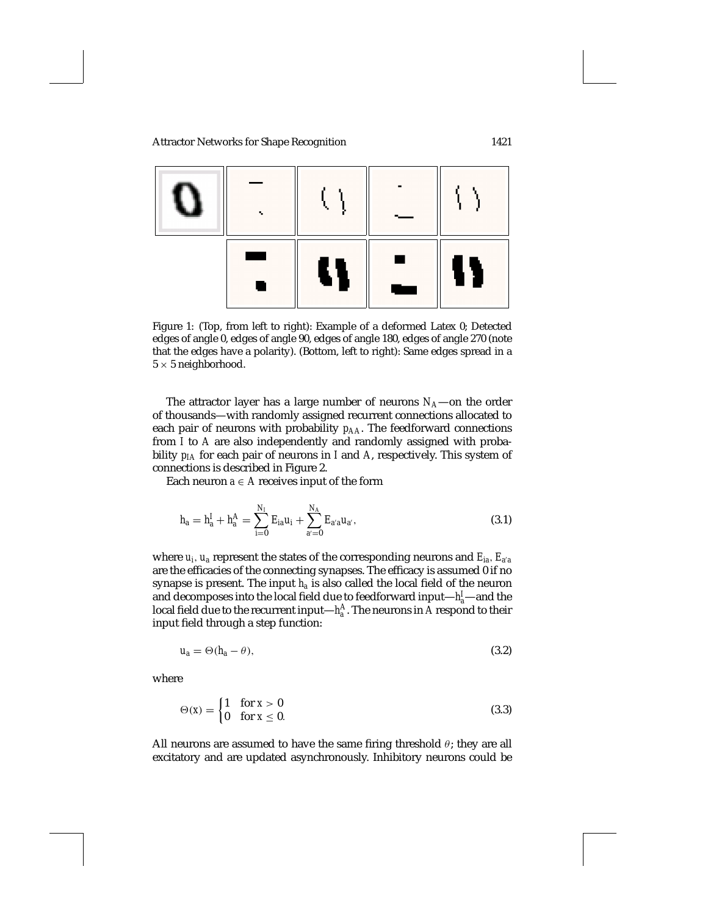

Figure 1: (Top, from left to right): Example of a deformed Latex 0; Detected edges of angle 0, edges of angle 90, edges of angle 180, edges of angle 270 (note that the edges have a polarity). (Bottom, left to right): Same edges spread in a  $5 \times 5$  neighborhood.

The attractor layer has a large number of neurons  $N_A$ —on the order of thousands—with randomly assigned recurrent connections allocated to each pair of neurons with probability  $p_{AA}$ . The feedforward connections from *I* to *A* are also independently and randomly assigned with probability *pIA* for each pair of neurons in *I* and *A*, respectively. This system of connections is described in Figure 2.

Each neuron  $a \in A$  receives input of the form

$$
h_a = h_a^I + h_a^A = \sum_{i=0}^{N_I} E_{ia} u_i + \sum_{a'=0}^{N_A} E_{a'a} u_{a'},
$$
\n(3.1)

where  $u_i$ ,  $u_a$  represent the states of the corresponding neurons and  $E_{ia}$ ,  $E_{a'a}$ are the efficacies of the connecting synapses. The efficacy is assumed 0 if no synapse is present. The input *ha* is also called the local field of the neuron and decomposes into the local field due to feedforward input— $h^I_a$ —and the local field due to the recurrent input— $h_a^A$ . The neurons in  $A$  respond to their input field through a step function:

$$
u_a = \Theta(h_a - \theta),\tag{3.2}
$$

where

$$
\Theta(x) = \begin{cases} 1 & \text{for } x > 0 \\ 0 & \text{for } x \le 0. \end{cases} \tag{3.3}
$$

All neurons are assumed to have the same firing threshold  $\theta$ ; they are all excitatory and are updated asynchronously. Inhibitory neurons could be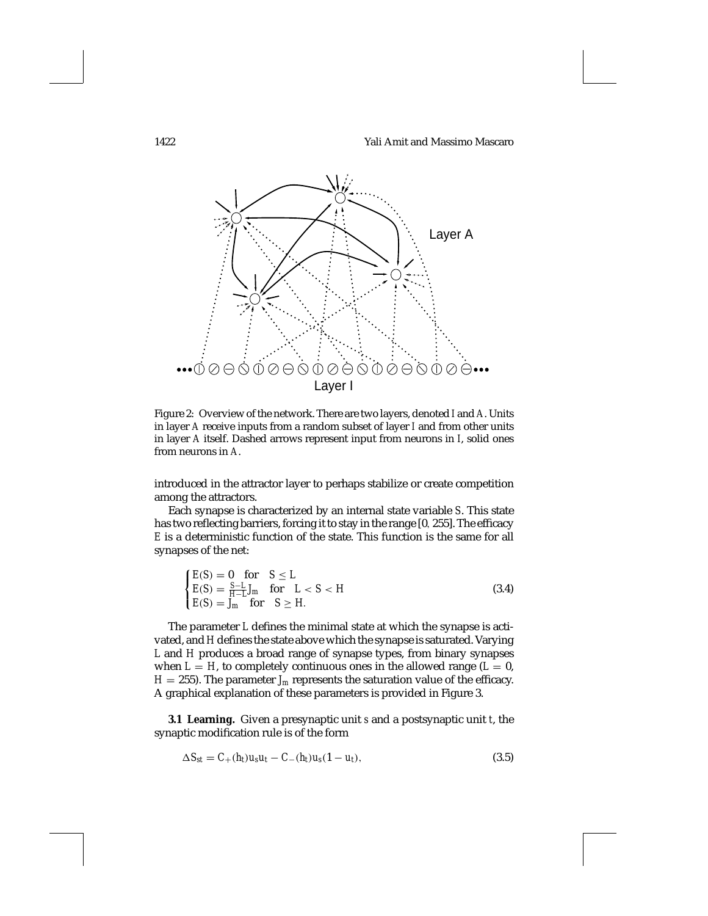1422 Yali Amit and Massimo Mascaro



Figure 2: Overview of the network. There are two layers, denoted *I* and *A*. Units in layer *A* receive inputs from a random subset of layer *I* and from other units in layer *A* itself. Dashed arrows represent input from neurons in *I*, solid ones from neurons in *A*.

introduced in the attractor layer to perhaps stabilize or create competition among the attractors.

Each synapse is characterized by an internal state variable *S*. This state has two reflecting barriers, forcing it to stay in the range [0, 255]. The efficacy *E* is a deterministic function of the state. This function is the same for all synapses of the net:

$$
\begin{cases}\nE(S) = 0 & \text{for } S \le L \\
E(S) = \frac{S-L}{H-L}J_m & \text{for } L < S < H \\
E(S) = J_m & \text{for } S \ge H.\n\end{cases} \tag{3.4}
$$

The parameter *L* defines the minimal state at which the synapse is activated, and *H* defines the state above which the synapse is saturated. Varying *L* and *H* produces a broad range of synapse types, from binary synapses when  $L = H$ , to completely continuous ones in the allowed range ( $L = 0$ ,  $H = 255$ ). The parameter  $J_m$  represents the saturation value of the efficacy. A graphical explanation of these parameters is provided in Figure 3.

**3.1 Learning.** Given a presynaptic unit *s* and a postsynaptic unit *t*, the synaptic modification rule is of the form

$$
\Delta S_{st} = C_+(h_t)u_s u_t - C_-(h_t)u_s(1-u_t), \qquad (3.5)
$$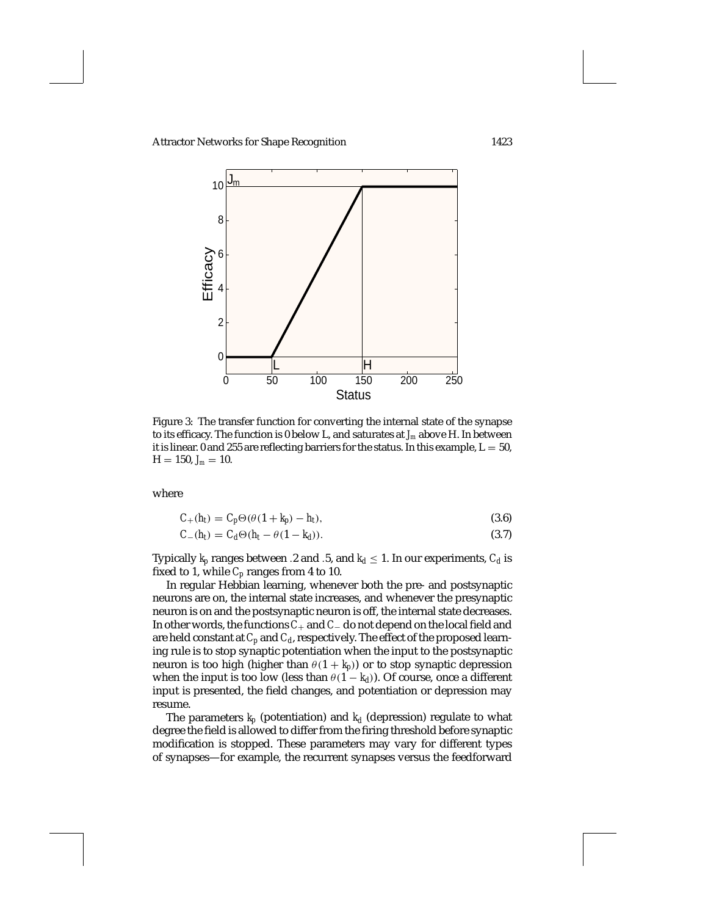

Figure 3: The transfer function for converting the internal state of the synapse to its efficacy. The function is 0 below L, and saturates at *Jm* above H. In between it is linear. 0 and 255 are reflecting barriers for the status. In this example,  $L = 50$ ,  $H = 150, J_m = 10.$ 

where

$$
C_{+}(h_{t}) = C_{p} \Theta(\theta(1 + k_{p}) - h_{t}), \qquad (3.6)
$$

$$
C_{-}(h_{t}) = C_{d} \Theta(h_{t} - \theta(1 - k_{d})).
$$
\n(3.7)

Typically  $k_p$  ranges between .2 and .5, and  $k_d \leq 1$ . In our experiments,  $C_d$  is fixed to 1, while *Cp* ranges from 4 to 10.

In regular Hebbian learning, whenever both the pre- and postsynaptic neurons are on, the internal state increases, and whenever the presynaptic neuron is on and the postsynaptic neuron is off, the internal state decreases. In other words, the functions*C*<sup>+</sup> and *C*<sup>−</sup> do not depend on the local field and are held constant at  $C_p$  and  $C_d$ , respectively. The effect of the proposed learning rule is to stop synaptic potentiation when the input to the postsynaptic neuron is too high (higher than  $\theta(1 + k_p)$ ) or to stop synaptic depression when the input is too low (less than  $\theta(1 - k_d)$ ). Of course, once a different input is presented, the field changes, and potentiation or depression may resume.

The parameters  $k_p$  (potentiation) and  $k_d$  (depression) regulate to what degree the field is allowed to differ from the firing threshold before synaptic modification is stopped. These parameters may vary for different types of synapses—for example, the recurrent synapses versus the feedforward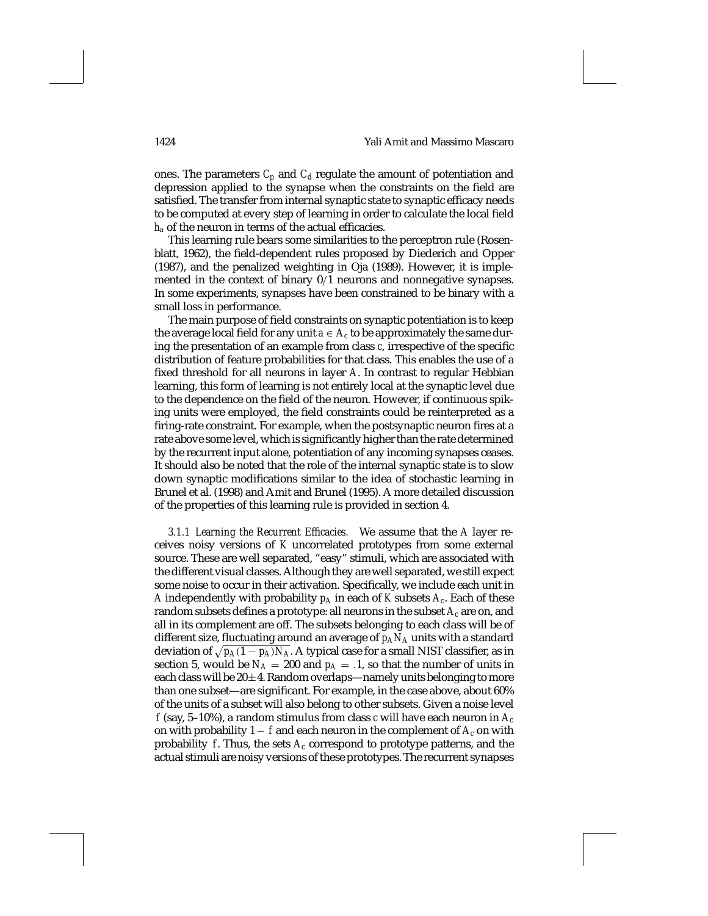## 1424 Yali Amit and Massimo Mascaro

ones. The parameters  $C_p$  and  $C_d$  regulate the amount of potentiation and depression applied to the synapse when the constraints on the field are satisfied. The transfer from internal synaptic state to synaptic efficacy needs to be computed at every step of learning in order to calculate the local field *ha* of the neuron in terms of the actual efficacies.

This learning rule bears some similarities to the perceptron rule (Rosenblatt, 1962), the field-dependent rules proposed by Diederich and Opper (1987), and the penalized weighting in Oja (1989). However, it is implemented in the context of binary 0/1 neurons and nonnegative synapses. In some experiments, synapses have been constrained to be binary with a small loss in performance.

The main purpose of field constraints on synaptic potentiation is to keep the average local field for any unit  $a \in A_c$  to be approximately the same during the presentation of an example from class *c*, irrespective of the specific distribution of feature probabilities for that class. This enables the use of a fixed threshold for all neurons in layer *A*. In contrast to regular Hebbian learning, this form of learning is not entirely local at the synaptic level due to the dependence on the field of the neuron. However, if continuous spiking units were employed, the field constraints could be reinterpreted as a firing-rate constraint. For example, when the postsynaptic neuron fires at a rate above some level, which is significantly higher than the rate determined by the recurrent input alone, potentiation of any incoming synapses ceases. It should also be noted that the role of the internal synaptic state is to slow down synaptic modifications similar to the idea of stochastic learning in Brunel et al. (1998) and Amit and Brunel (1995). A more detailed discussion of the properties of this learning rule is provided in section 4.

*3.1.1 Learning the Recurrent Efficacies.* We assume that the *A* layer receives noisy versions of *K* uncorrelated prototypes from some external source. These are well separated, "easy" stimuli, which are associated with the different visual classes. Although they are well separated, we still expect some noise to occur in their activation. Specifically, we include each unit in *A* independently with probability  $p_A$  in each of *K* subsets  $A_c$ . Each of these random subsets defines a prototype: all neurons in the subset *Ac* are on, and all in its complement are off. The subsets belonging to each class will be of different size, fluctuating around an average of *pANA* units with a standard deviation of  $\sqrt{p_A(1 - p_A)N_A}$ . A typical case for a small NIST classifier, as in section 5, would be  $N_A = 200$  and  $p_A = .1$ , so that the number of units in each class will be  $20\pm 4$ . Random overlaps—namely units belonging to more than one subset—are significant. For example, in the case above, about 60% of the units of a subset will also belong to other subsets. Given a noise level  $f$  (say, 5–10%), a random stimulus from class  $c$  will have each neuron in  $A_c$ on with probability  $1 - f$  and each neuron in the complement of  $A_c$  on with probability  $f$ . Thus, the sets  $A_c$  correspond to prototype patterns, and the actual stimuli are noisy versions of these prototypes. The recurrent synapses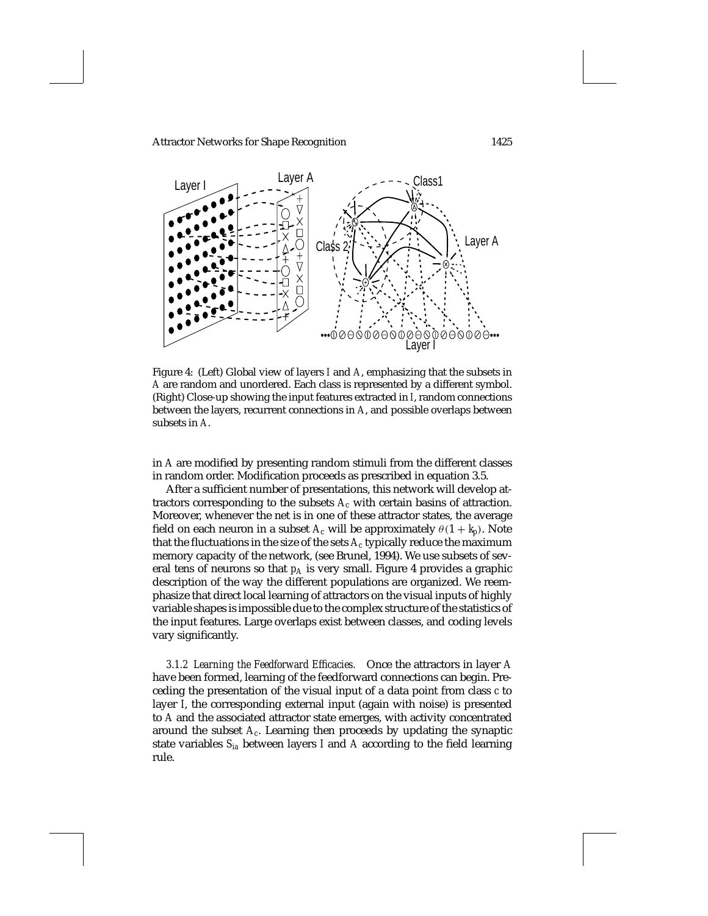

Figure 4: (Left) Global view of layers *I* and *A*, emphasizing that the subsets in *A* are random and unordered. Each class is represented by a different symbol. (Right) Close-up showing the input features extracted in *I*, random connections between the layers, recurrent connections in *A*, and possible overlaps between subsets in *A*.

in *A* are modified by presenting random stimuli from the different classes in random order. Modification proceeds as prescribed in equation 3.5.

After a sufficient number of presentations, this network will develop attractors corresponding to the subsets *Ac* with certain basins of attraction. Moreover, whenever the net is in one of these attractor states, the average field on each neuron in a subset  $A_c$  will be approximately  $\theta(1 + k_p)$ . Note that the fluctuations in the size of the sets  $A_c$  typically reduce the maximum memory capacity of the network, (see Brunel, 1994). We use subsets of several tens of neurons so that  $p_A$  is very small. Figure 4 provides a graphic description of the way the different populations are organized. We reemphasize that direct local learning of attractors on the visual inputs of highly variable shapes is impossible due to the complex structure of the statistics of the input features. Large overlaps exist between classes, and coding levels vary significantly.

*3.1.2 Learning the Feedforward Efficacies.* Once the attractors in layer *A* have been formed, learning of the feedforward connections can begin. Preceding the presentation of the visual input of a data point from class *c* to layer *I*, the corresponding external input (again with noise) is presented to *A* and the associated attractor state emerges, with activity concentrated around the subset *Ac*. Learning then proceeds by updating the synaptic state variables *Sia* between layers *I* and *A* according to the field learning rule.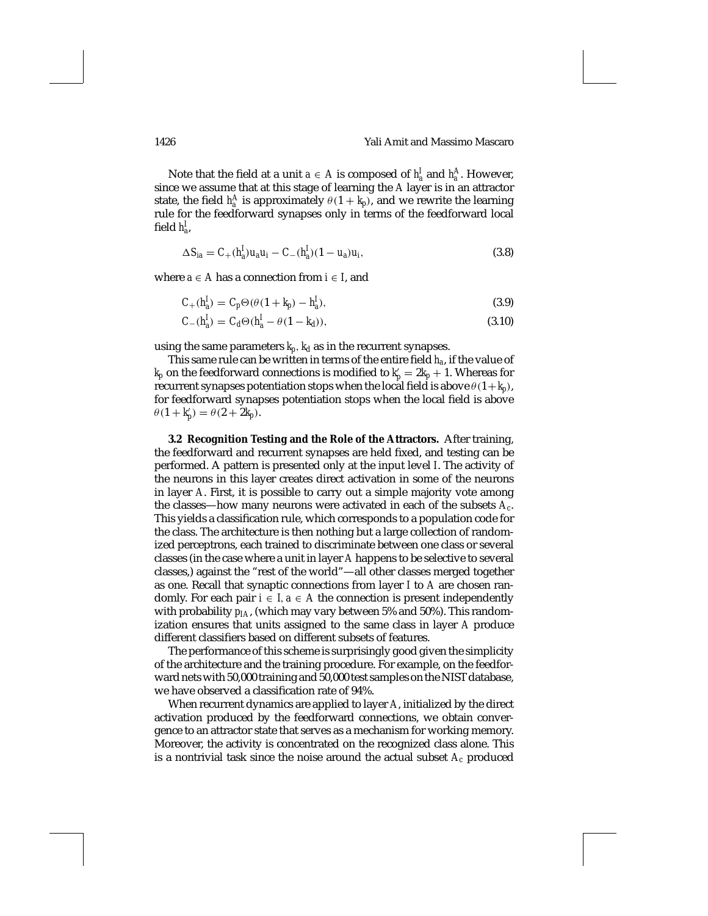Note that the field at a unit  $a \in A$  is composed of  $h_a^I$  and  $h_a^A$ . However, since we assume that at this stage of learning the *A* layer is in an attractor state, the field  $h_a^A$  is approximately  $\theta(1 + k_p)$ , and we rewrite the learning rule for the feedforward synapses only in terms of the feedforward local field *h<sup>I</sup> a*,

$$
\Delta S_{ia} = C_+(h_a^I)u_a u_i - C_-(h_a^I)(1 - u_a)u_i, \tag{3.8}
$$

where  $a \in A$  has a connection from  $i \in I$ , and

$$
C_{+}(h_a^I) = C_p \Theta(\theta(1 + k_p) - h_a^I),
$$
\n(3.9)

$$
C_{-}(h_d^I) = C_d \Theta(h_d^I - \theta(1 - k_d)),
$$
\n(3.10)

using the same parameters  $k_p$ ,  $k_d$  as in the recurrent synapses.

This same rule can be written in terms of the entire field *ha*, if the value of  $k_p$  on the feedforward connections is modified to  $k'_p = 2k_p + 1$ . Whereas for recurrent synapses potentiation stops when the local field is above  $\theta(1+k_p)$ , for feedforward synapses potentiation stops when the local field is above  $\theta(1 + k'_p) = \theta(2 + 2k_p).$ 

**3.2 Recognition Testing and the Role of the Attractors.** After training, the feedforward and recurrent synapses are held fixed, and testing can be performed. A pattern is presented only at the input level *I*. The activity of the neurons in this layer creates direct activation in some of the neurons in layer *A*. First, it is possible to carry out a simple majority vote among the classes—how many neurons were activated in each of the subsets *Ac*. This yields a classification rule, which corresponds to a population code for the class. The architecture is then nothing but a large collection of randomized perceptrons, each trained to discriminate between one class or several classes (in the case where a unit in layer *A* happens to be selective to several classes,) against the "rest of the world"—all other classes merged together as one. Recall that synaptic connections from layer *I* to *A* are chosen randomly. For each pair  $i \in I$ ,  $a \in A$  the connection is present independently with probability  $p_{IA}$ , (which may vary between 5% and 50%). This randomization ensures that units assigned to the same class in layer *A* produce different classifiers based on different subsets of features.

The performance of this scheme is surprisingly good given the simplicity of the architecture and the training procedure. For example, on the feedforward nets with 50,000 training and 50,000 test samples on the NIST database, we have observed a classification rate of 94%.

When recurrent dynamics are applied to layer *A*, initialized by the direct activation produced by the feedforward connections, we obtain convergence to an attractor state that serves as a mechanism for working memory. Moreover, the activity is concentrated on the recognized class alone. This is a nontrivial task since the noise around the actual subset *Ac* produced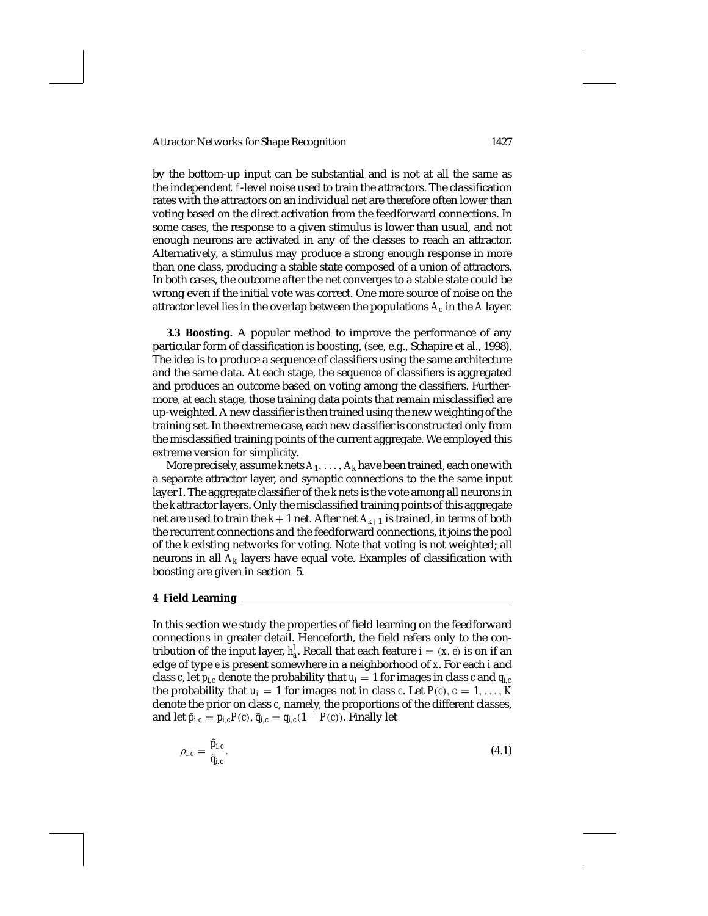by the bottom-up input can be substantial and is not at all the same as the independent *f*-level noise used to train the attractors. The classification rates with the attractors on an individual net are therefore often lower than voting based on the direct activation from the feedforward connections. In some cases, the response to a given stimulus is lower than usual, and not enough neurons are activated in any of the classes to reach an attractor. Alternatively, a stimulus may produce a strong enough response in more than one class, producing a stable state composed of a union of attractors. In both cases, the outcome after the net converges to a stable state could be wrong even if the initial vote was correct. One more source of noise on the attractor level lies in the overlap between the populations  $A_c$  in the  $A$  layer.

**3.3 Boosting.** A popular method to improve the performance of any particular form of classification is boosting, (see, e.g., Schapire et al., 1998). The idea is to produce a sequence of classifiers using the same architecture and the same data. At each stage, the sequence of classifiers is aggregated and produces an outcome based on voting among the classifiers. Furthermore, at each stage, those training data points that remain misclassified are up-weighted. A new classifier is then trained using the new weighting of the training set. In the extreme case, each new classifier is constructed only from the misclassified training points of the current aggregate. We employed this extreme version for simplicity.

More precisely, assume  $k$  nets  $A_1, \ldots, A_k$  have been trained, each one with a separate attractor layer, and synaptic connections to the the same input layer *I*. The aggregate classifier of the *k* nets is the vote among all neurons in the *k* attractor layers. Only the misclassified training points of this aggregate net are used to train the  $k+1$  net. After net  $A_{k+1}$  is trained, in terms of both the recurrent connections and the feedforward connections, it joins the pool of the *k* existing networks for voting. Note that voting is not weighted; all neurons in all *Ak* layers have equal vote. Examples of classification with boosting are given in section 5.

### **4 Field Learning**

In this section we study the properties of field learning on the feedforward connections in greater detail. Henceforth, the field refers only to the contribution of the input layer,  $h_a^I$ . Recall that each feature  $i = (x, e)$  is on if an edge of type *e* is present somewhere in a neighborhood of *x*. For each *i* and class *c*, let  $p_{i,c}$  denote the probability that  $u_i = 1$  for images in class *c* and  $q_{i,c}$ the probability that  $u_i = 1$  for images not in class *c*. Let  $P(c)$ ,  $c = 1, \ldots, K$ denote the prior on class *c*, namely, the proportions of the different classes, and let  $\tilde{p}_{i,c} = p_{i,c}P(c), \tilde{q}_{i,c} = q_{i,c}(1 - P(c)).$  Finally let

$$
\rho_{i,c} = \frac{\tilde{p}_{i,c}}{\tilde{q}_{i,c}}.\tag{4.1}
$$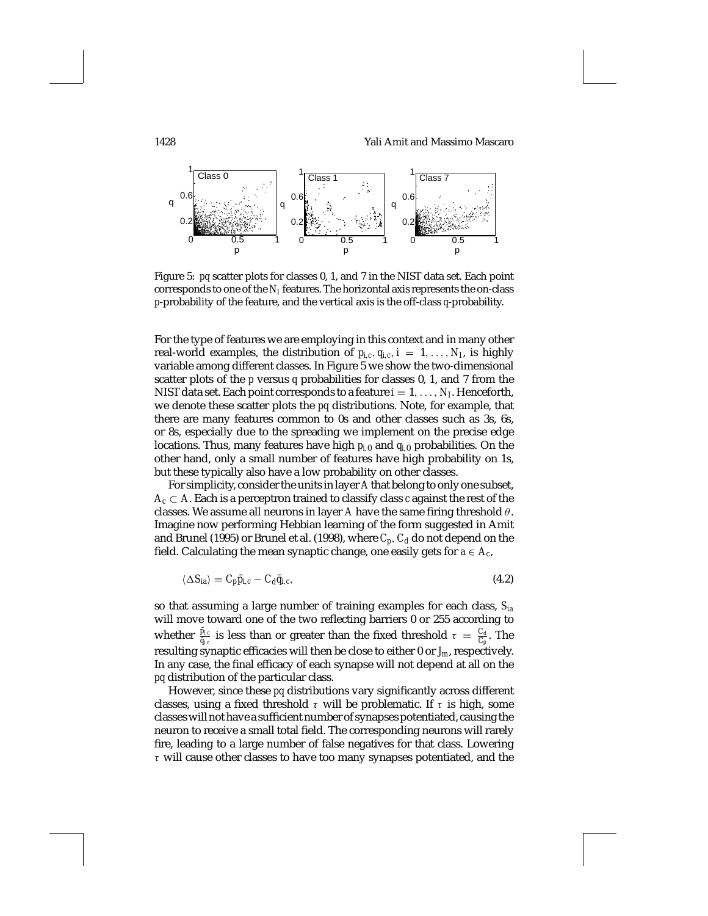# 1428 Yali Amit and Massimo Mascaro



Figure 5: *pq* scatter plots for classes 0, 1, and 7 in the NIST data set. Each point corresponds to one of the  $N_I$  features. The horizontal axis represents the on-class *p*-probability of the feature, and the vertical axis is the off-class *q*-probability.

For the type of features we are employing in this context and in many other real-world examples, the distribution of  $p_{i,c}, q_{i,c}, i = 1, \ldots, N_I$ , is highly variable among different classes. In Figure 5 we show the two-dimensional scatter plots of the *p* versus *q* probabilities for classes 0, 1, and 7 from the NIST data set. Each point corresponds to a feature  $i = 1, \ldots, N_I$ . Henceforth, we denote these scatter plots the *pq* distributions. Note, for example, that there are many features common to 0s and other classes such as 3s, 6s, or 8s, especially due to the spreading we implement on the precise edge locations. Thus, many features have high *pi*,<sup>0</sup> and *qi*,<sup>0</sup> probabilities. On the other hand, only a small number of features have high probability on 1s, but these typically also have a low probability on other classes.

For simplicity, consider the units in layer *A* that belong to only one subset,  $A_c \subset A$ . Each is a perceptron trained to classify class *c* against the rest of the classes. We assume all neurons in layer *A* have the same firing threshold  $\theta$ . Imagine now performing Hebbian learning of the form suggested in Amit and Brunel (1995) or Brunel et al. (1998), where  $C_p$ ,  $C_d$  do not depend on the field. Calculating the mean synaptic change, one easily gets for  $a \in A_c$ ,

$$
\langle \Delta S_{ia} \rangle = C_p \tilde{p}_{i,c} - C_d \tilde{q}_{i,c},\tag{4.2}
$$

so that assuming a large number of training examples for each class, *Sia* will move toward one of the two reflecting barriers 0 or 255 according to whether  $\frac{\tilde{p}_{i.c}}{\tilde{q}_{i.c}}$  is less than or greater than the fixed threshold  $\tau = \frac{C_d}{C_p}$ . The resulting synaptic efficacies will then be close to either 0 or *Jm*, respectively. In any case, the final efficacy of each synapse will not depend at all on the *pq* distribution of the particular class.

However, since these *pq* distributions vary significantly across different classes, using a fixed threshold  $\tau$  will be problematic. If  $\tau$  is high, some classes will not have a sufficient number of synapses potentiated, causing the neuron to receive a small total field. The corresponding neurons will rarely fire, leading to a large number of false negatives for that class. Lowering  $\tau$  will cause other classes to have too many synapses potentiated, and the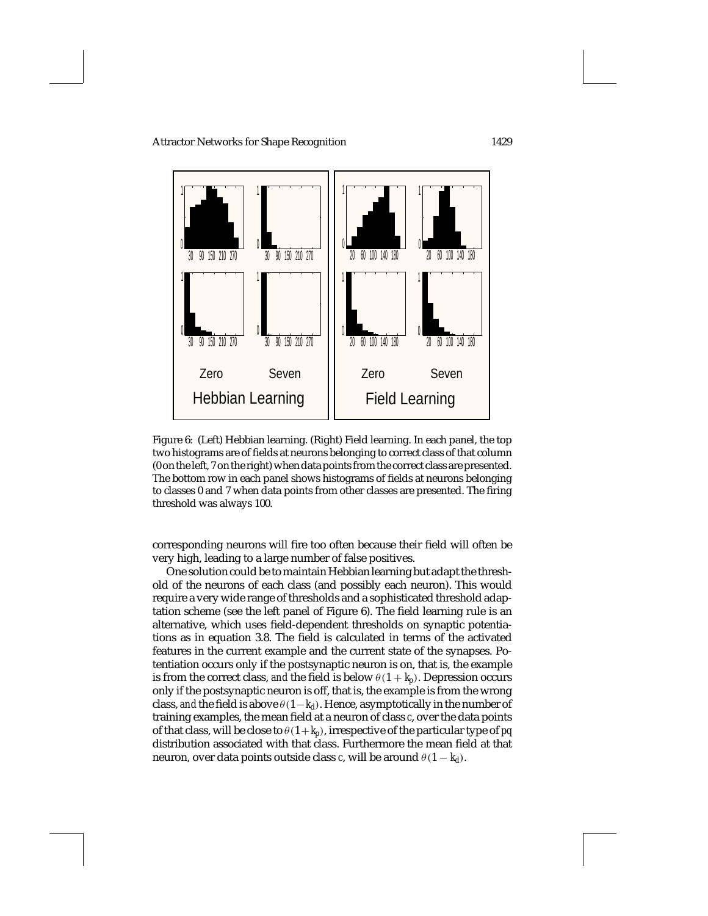

Figure 6: (Left) Hebbian learning. (Right) Field learning. In each panel, the top two histograms are of fields at neurons belonging to correct class of that column (0 on the left, 7 on the right) when data points from the correct class are presented. The bottom row in each panel shows histograms of fields at neurons belonging to classes 0 and 7 when data points from other classes are presented. The firing threshold was always 100.

corresponding neurons will fire too often because their field will often be very high, leading to a large number of false positives.

One solution could be to maintain Hebbian learning but adapt the threshold of the neurons of each class (and possibly each neuron). This would require a very wide range of thresholds and a sophisticated threshold adaptation scheme (see the left panel of Figure 6). The field learning rule is an alternative, which uses field-dependent thresholds on synaptic potentiations as in equation 3.8. The field is calculated in terms of the activated features in the current example and the current state of the synapses. Potentiation occurs only if the postsynaptic neuron is on, that is, the example is from the correct class, *and* the field is below  $\theta(1 + k_p)$ . Depression occurs only if the postsynaptic neuron is off, that is, the example is from the wrong class, *and* the field is above  $\theta(1-k_d)$ . Hence, asymptotically in the number of training examples, the mean field at a neuron of class *c*, over the data points of that class, will be close to  $\theta(1+k_p)$ , irrespective of the particular type of *pq* distribution associated with that class. Furthermore the mean field at that neuron, over data points outside class *c*, will be around  $\theta(1 - k_d)$ .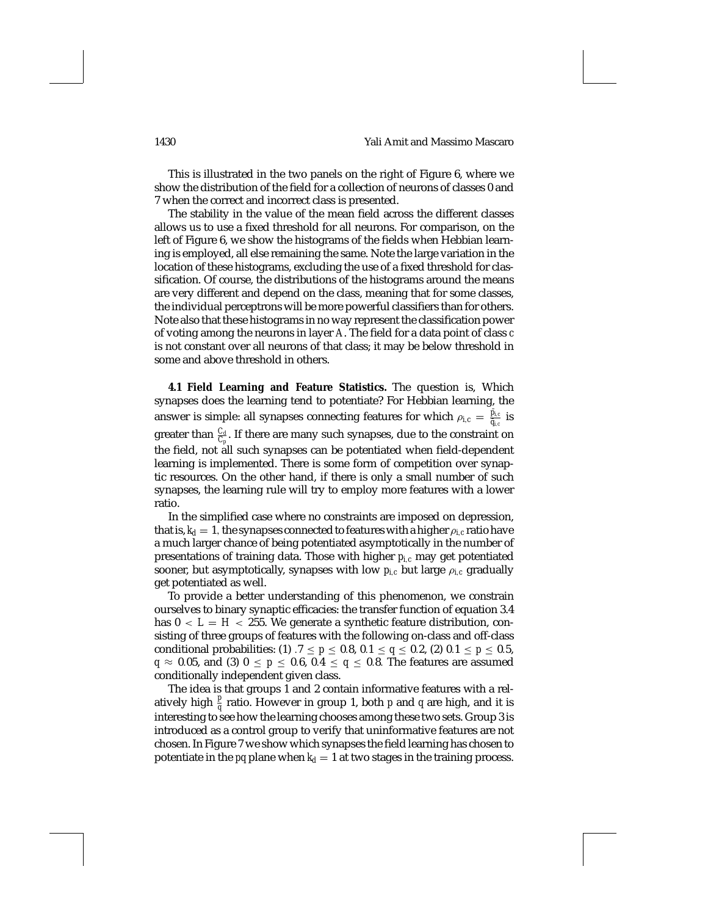This is illustrated in the two panels on the right of Figure 6, where we show the distribution of the field for a collection of neurons of classes 0 and 7 when the correct and incorrect class is presented.

The stability in the value of the mean field across the different classes allows us to use a fixed threshold for all neurons. For comparison, on the left of Figure 6, we show the histograms of the fields when Hebbian learning is employed, all else remaining the same. Note the large variation in the location of these histograms, excluding the use of a fixed threshold for classification. Of course, the distributions of the histograms around the means are very different and depend on the class, meaning that for some classes, the individual perceptrons will be more powerful classifiers than for others. Note also that these histograms in no way represent the classification power of voting among the neurons in layer *A*. The field for a data point of class *c* is not constant over all neurons of that class; it may be below threshold in some and above threshold in others.

**4.1 Field Learning and Feature Statistics.** The question is, Which synapses does the learning tend to potentiate? For Hebbian learning, the answer is simple: all synapses connecting features for which  $\rho_{i,c} = \frac{\tilde{p}_{i,c}}{\tilde{q}_{i,c}}$  is greater than  $\frac{C_d}{C_p}$ . If there are many such synapses, due to the constraint on the field, not all such synapses can be potentiated when field-dependent learning is implemented. There is some form of competition over synaptic resources. On the other hand, if there is only a small number of such synapses, the learning rule will try to employ more features with a lower ratio.

In the simplified case where no constraints are imposed on depression, that is,  $k_d = 1$ , the synapses connected to features with a higher  $\rho_{i,c}$  ratio have a much larger chance of being potentiated asymptotically in the number of presentations of training data. Those with higher *pi*,*<sup>c</sup>* may get potentiated sooner, but asymptotically, synapses with low  $p_{i,c}$  but large  $\rho_{i,c}$  gradually get potentiated as well.

To provide a better understanding of this phenomenon, we constrain ourselves to binary synaptic efficacies: the transfer function of equation 3.4 has  $0 < L = H < 255$ . We generate a synthetic feature distribution, consisting of three groups of features with the following on-class and off-class conditional probabilities: (1)  $.7 \le p \le 0.8$ ,  $0.1 \le q \le 0.2$ , (2)  $0.1 \le p \le 0.5$ , *q*  $\approx$  0.05, and (3) 0  $\le$  *p*  $\le$  0.6, 0.4  $\le$  *q*  $\le$  0.8. The features are assumed conditionally independent given class.

The idea is that groups 1 and 2 contain informative features with a relatively high  $\frac{p}{q}$  ratio. However in group 1, both *p* and *q* are high, and it is interesting to see how the learning chooses among these two sets. Group 3 is introduced as a control group to verify that uninformative features are not chosen. In Figure 7 we show which synapses the field learning has chosen to potentiate in the  $pq$  plane when  $k_d = 1$  at two stages in the training process.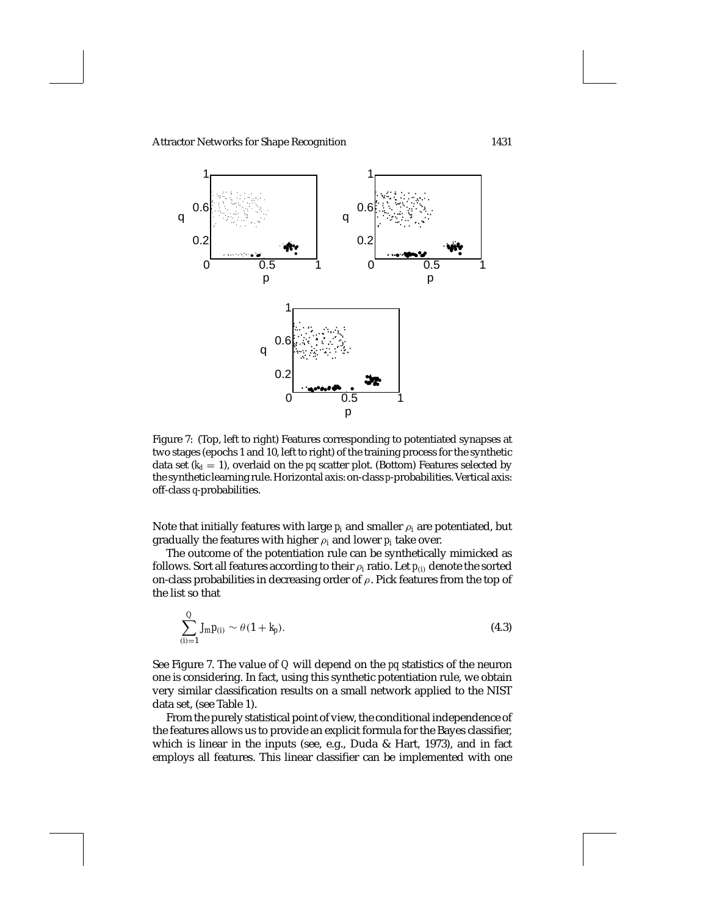

Figure 7: (Top, left to right) Features corresponding to potentiated synapses at two stages (epochs 1 and 10, left to right) of the training process for the synthetic data set  $(k_d = 1)$ , overlaid on the *pq* scatter plot. (Bottom) Features selected by the synthetic learning rule. Horizontal axis: on-class *p*-probabilities. Vertical axis: off-class *q*-probabilities.

Note that initially features with large  $p_i$  and smaller  $\rho_i$  are potentiated, but gradually the features with higher ρ*<sup>i</sup>* and lower *pi* take over.

The outcome of the potentiation rule can be synthetically mimicked as follows. Sort all features according to their  $\rho_i$  ratio. Let  $p_{(i)}$  denote the sorted on-class probabilities in decreasing order of  $\rho$ . Pick features from the top of the list so that

$$
\sum_{(i)=1}^{Q} J_{m} p_{(i)} \sim \theta (1 + k_{p}). \tag{4.3}
$$

See Figure 7. The value of *Q* will depend on the *pq* statistics of the neuron one is considering. In fact, using this synthetic potentiation rule, we obtain very similar classification results on a small network applied to the NIST data set, (see Table 1).

From the purely statistical point of view, the conditional independence of the features allows us to provide an explicit formula for the Bayes classifier, which is linear in the inputs (see, e.g., Duda & Hart, 1973), and in fact employs all features. This linear classifier can be implemented with one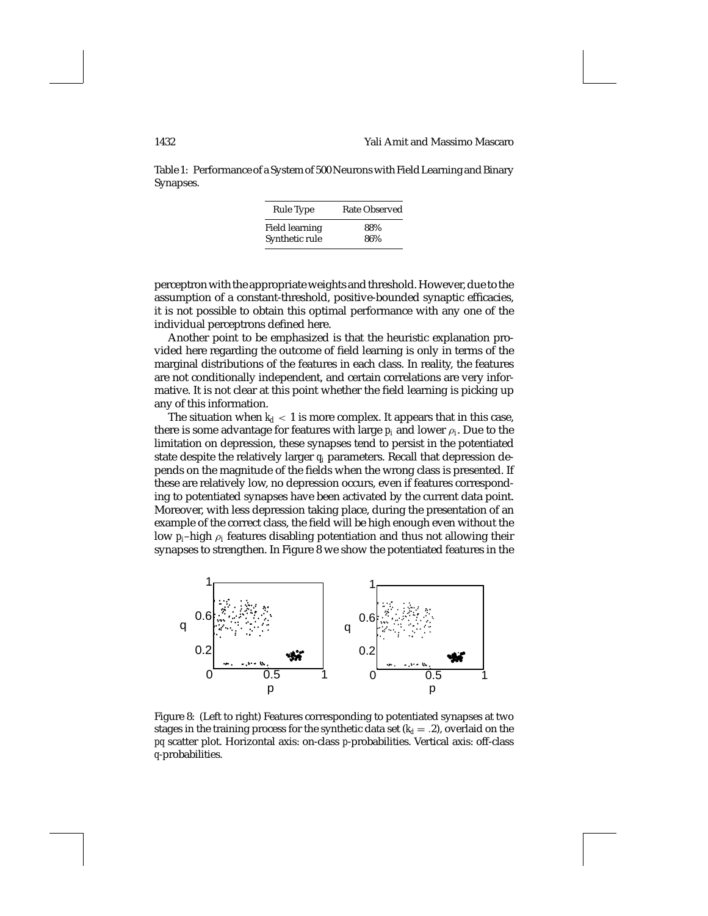Table 1: Performance of a System of 500 Neurons with Field Learning and Binary Synapses.

| Rule Type      | Rate Observed |
|----------------|---------------|
| Field learning | 88%           |
| Synthetic rule | 86%           |

perceptron with the appropriate weights and threshold. However, due to the assumption of a constant-threshold, positive-bounded synaptic efficacies, it is not possible to obtain this optimal performance with any one of the individual perceptrons defined here.

Another point to be emphasized is that the heuristic explanation provided here regarding the outcome of field learning is only in terms of the marginal distributions of the features in each class. In reality, the features are not conditionally independent, and certain correlations are very informative. It is not clear at this point whether the field learning is picking up any of this information.

The situation when  $k_d < 1$  is more complex. It appears that in this case, there is some advantage for features with large  $p_i$  and lower  $\rho_i$ . Due to the limitation on depression, these synapses tend to persist in the potentiated state despite the relatively larger *qi* parameters. Recall that depression depends on the magnitude of the fields when the wrong class is presented. If these are relatively low, no depression occurs, even if features corresponding to potentiated synapses have been activated by the current data point. Moreover, with less depression taking place, during the presentation of an example of the correct class, the field will be high enough even without the low  $p_i$ -high  $\rho_i$  features disabling potentiation and thus not allowing their synapses to strengthen. In Figure 8 we show the potentiated features in the



Figure 8: (Left to right) Features corresponding to potentiated synapses at two stages in the training process for the synthetic data set  $(k_d = .2)$ , overlaid on the *pq* scatter plot. Horizontal axis: on-class *p*-probabilities. Vertical axis: off-class *q*-probabilities.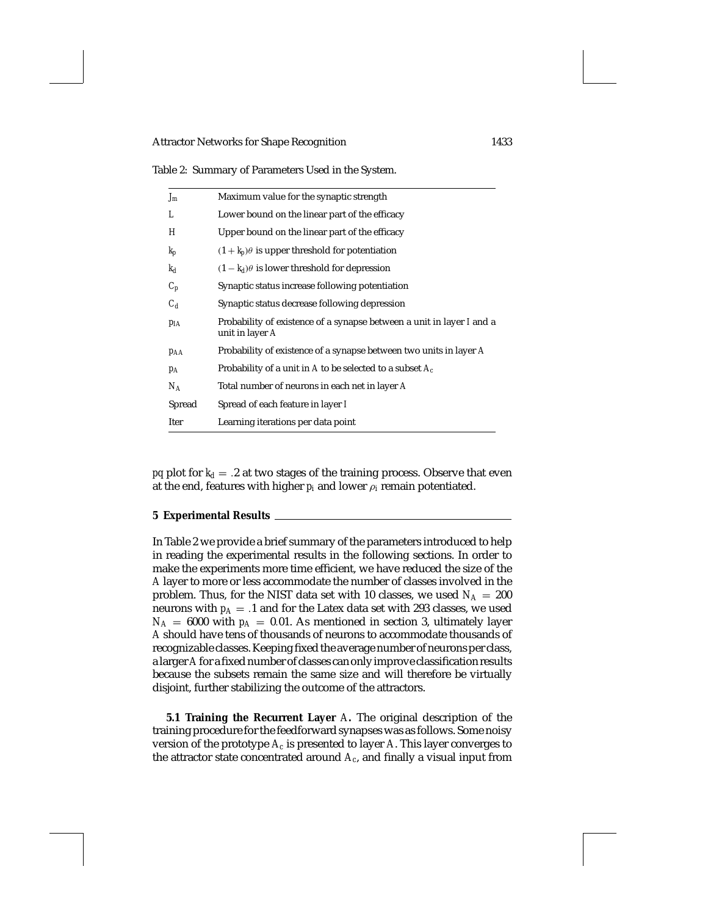Table 2: Summary of Parameters Used in the System.

| $J_m$    | Maximum value for the synaptic strength                                                  |
|----------|------------------------------------------------------------------------------------------|
| L        | Lower bound on the linear part of the efficacy                                           |
| Н        | Upper bound on the linear part of the efficacy                                           |
| $k_p$    | $(1 + k_p)\theta$ is upper threshold for potentiation                                    |
| $k_d$    | $(1 - k_d)\theta$ is lower threshold for depression                                      |
| $C_p$    | Synaptic status increase following potentiation                                          |
| $C_d$    | Synaptic status decrease following depression                                            |
| $p_{IA}$ | Probability of existence of a synapse between a unit in layer I and a<br>unit in layer A |
| PAA      | Probability of existence of a synapse between two units in layer A                       |
| $p_A$    | Probability of a unit in A to be selected to a subset $A_c$                              |
| $N_A$    | Total number of neurons in each net in layer A                                           |
| Spread   | Spread of each feature in layer I                                                        |
| Iter     | Learning iterations per data point                                                       |
|          |                                                                                          |

*pq* plot for  $k_d = .2$  at two stages of the training process. Observe that even at the end, features with higher  $p_i$  and lower  $p_i$  remain potentiated.

## **5 Experimental Results**

In Table 2 we provide a brief summary of the parameters introduced to help in reading the experimental results in the following sections. In order to make the experiments more time efficient, we have reduced the size of the *A* layer to more or less accommodate the number of classes involved in the problem. Thus, for the NIST data set with 10 classes, we used  $N_A = 200$ neurons with  $p_A = .1$  and for the Latex data set with 293 classes, we used  $N_A = 6000$  with  $p_A = 0.01$ . As mentioned in section 3, ultimately layer *A* should have tens of thousands of neurons to accommodate thousands of recognizable classes. Keeping fixed the average number of neurons per class, a larger *A*for a fixed number of classes can only improve classification results because the subsets remain the same size and will therefore be virtually disjoint, further stabilizing the outcome of the attractors.

**5.1 Training the Recurrent Layer** *A***.** The original description of the training procedure for the feedforward synapses was as follows. Some noisy version of the prototype  $A_c$  is presented to layer  $A$ . This layer converges to the attractor state concentrated around *Ac*, and finally a visual input from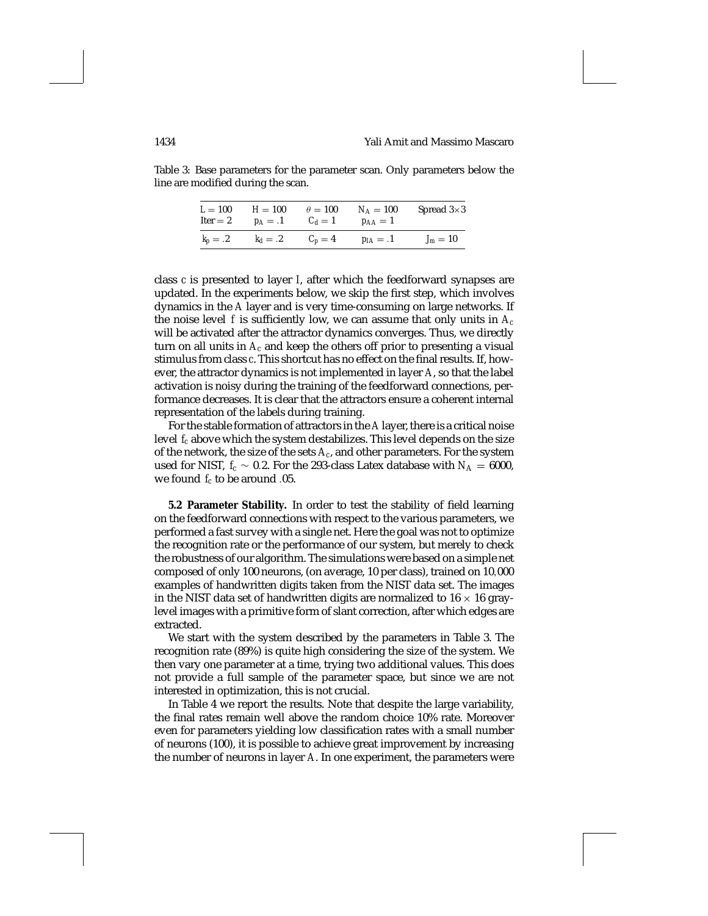Table 3: Base parameters for the parameter scan. Only parameters below the line are modified during the scan.

| $L=100$   | $H = 100$  | $\theta = 100$ | $N_A = 100$ | Spread $3\times3$ |
|-----------|------------|----------------|-------------|-------------------|
| Iter $=2$ | $p_A=.1$   | $C_d=1$        | $p_{AA}=1$  |                   |
| $k_p=.2$  | $k_d = .2$ | $C_p=4$        | $p_{IA}=.1$ | $J_m=10$          |

class *c* is presented to layer *I*, after which the feedforward synapses are updated. In the experiments below, we skip the first step, which involves dynamics in the *A* layer and is very time-consuming on large networks. If the noise level f is sufficiently low, we can assume that only units in  $A_c$ will be activated after the attractor dynamics converges. Thus, we directly turn on all units in *Ac* and keep the others off prior to presenting a visual stimulus from class *c*. This shortcut has no effect on the final results. If, however, the attractor dynamics is not implemented in layer *A*, so that the label activation is noisy during the training of the feedforward connections, performance decreases. It is clear that the attractors ensure a coherent internal representation of the labels during training.

For the stable formation of attractors in the *A* layer, there is a critical noise level *fc* above which the system destabilizes. This level depends on the size of the network, the size of the sets *Ac*, and other parameters. For the system used for NIST,  $f_c \sim 0.2$ . For the 293-class Latex database with  $N_A = 6000$ , we found *fc* to be around .05.

**5.2 Parameter Stability.** In order to test the stability of field learning on the feedforward connections with respect to the various parameters, we performed a fast survey with a single net. Here the goal was not to optimize the recognition rate or the performance of our system, but merely to check the robustness of our algorithm. The simulations were based on a simple net composed of only 100 neurons, (on average, 10 per class), trained on 10,000 examples of handwritten digits taken from the NIST data set. The images in the NIST data set of handwritten digits are normalized to  $16 \times 16$  graylevel images with a primitive form of slant correction, after which edges are extracted.

We start with the system described by the parameters in Table 3. The recognition rate (89%) is quite high considering the size of the system. We then vary one parameter at a time, trying two additional values. This does not provide a full sample of the parameter space, but since we are not interested in optimization, this is not crucial.

In Table 4 we report the results. Note that despite the large variability, the final rates remain well above the random choice 10% rate. Moreover even for parameters yielding low classification rates with a small number of neurons (100), it is possible to achieve great improvement by increasing the number of neurons in layer *A*. In one experiment, the parameters were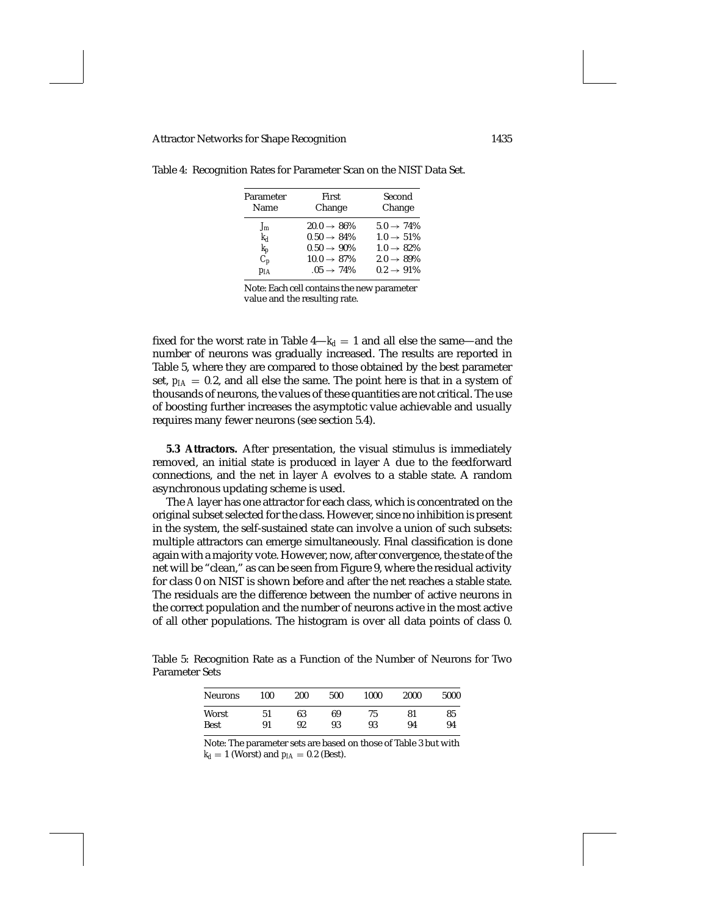| Parameter | First                   | Second                 |  |
|-----------|-------------------------|------------------------|--|
| Name      | Change                  | Change                 |  |
| $J_m$     | $20.0 \rightarrow 86\%$ | $5.0 \rightarrow 74\%$ |  |
| $k_d$     | $0.50 \rightarrow 84\%$ | $1.0 \rightarrow 51\%$ |  |
| $k_p$     | $0.50 \rightarrow 90\%$ | $1.0 \rightarrow 82\%$ |  |
| $C_p$     | $10.0 \rightarrow 87\%$ | $2.0 \rightarrow 89\%$ |  |
| $p_{IA}$  | $.05 \rightarrow 74\%$  | $0.2 \rightarrow 91\%$ |  |

Table 4: Recognition Rates for Parameter Scan on the NIST Data Set.

Note: Each cell contains the new parameter value and the resulting rate.

fixed for the worst rate in Table  $4-k_d = 1$  and all else the same—and the number of neurons was gradually increased. The results are reported in Table 5, where they are compared to those obtained by the best parameter set,  $p_{IA} = 0.2$ , and all else the same. The point here is that in a system of thousands of neurons, the values of these quantities are not critical. The use of boosting further increases the asymptotic value achievable and usually requires many fewer neurons (see section 5.4).

**5.3 Attractors.** After presentation, the visual stimulus is immediately removed, an initial state is produced in layer *A* due to the feedforward connections, and the net in layer *A* evolves to a stable state. A random asynchronous updating scheme is used.

The *A* layer has one attractor for each class, which is concentrated on the original subset selected for the class. However, since no inhibition is present in the system, the self-sustained state can involve a union of such subsets: multiple attractors can emerge simultaneously. Final classification is done again with a majority vote. However, now, after convergence, the state of the net will be "clean," as can be seen from Figure 9, where the residual activity for class 0 on NIST is shown before and after the net reaches a stable state. The residuals are the difference between the number of active neurons in the correct population and the number of neurons active in the most active of all other populations. The histogram is over all data points of class 0.

Table 5: Recognition Rate as a Function of the Number of Neurons for Two Parameter Sets

| <b>Neurons</b> | 100 | 200 | 500 | 1000 | 2000 | 5000 |
|----------------|-----|-----|-----|------|------|------|
| Worst          | 51  | 63  | 69  | 75   | 81   | 85   |
| <b>Best</b>    | 91  | 92  | 93  | 93   | 94   | 94   |

Note: The parameter sets are based on those of Table 3 but with  $k_d = 1$  (Worst) and  $p_{IA} = 0.2$  (Best).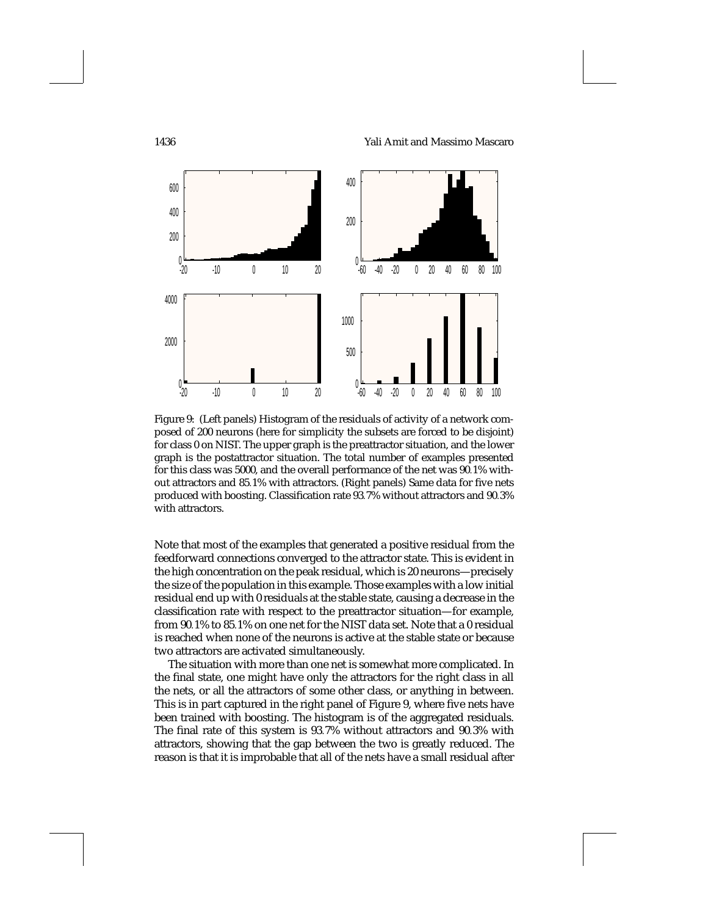1436 Yali Amit and Massimo Mascaro



Figure 9: (Left panels) Histogram of the residuals of activity of a network composed of 200 neurons (here for simplicity the subsets are forced to be disjoint) for class 0 on NIST. The upper graph is the preattractor situation, and the lower graph is the postattractor situation. The total number of examples presented for this class was 5000, and the overall performance of the net was 90.1% without attractors and 85.1% with attractors. (Right panels) Same data for five nets produced with boosting. Classification rate 93.7% without attractors and 90.3% with attractors.

Note that most of the examples that generated a positive residual from the feedforward connections converged to the attractor state. This is evident in the high concentration on the peak residual, which is 20 neurons—precisely the size of the population in this example. Those examples with a low initial residual end up with 0 residuals at the stable state, causing a decrease in the classification rate with respect to the preattractor situation—for example, from 90.1% to 85.1% on one net for the NIST data set. Note that a 0 residual is reached when none of the neurons is active at the stable state or because two attractors are activated simultaneously.

The situation with more than one net is somewhat more complicated. In the final state, one might have only the attractors for the right class in all the nets, or all the attractors of some other class, or anything in between. This is in part captured in the right panel of Figure 9, where five nets have been trained with boosting. The histogram is of the aggregated residuals. The final rate of this system is 93.7% without attractors and 90.3% with attractors, showing that the gap between the two is greatly reduced. The reason is that it is improbable that all of the nets have a small residual after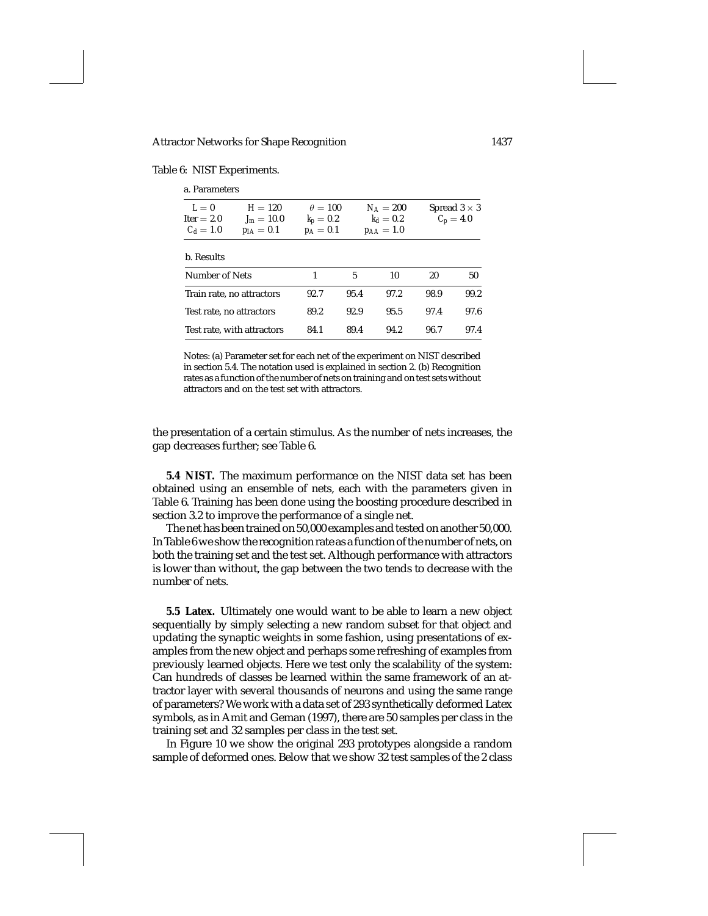Table 6: NIST Experiments.

| a. Parameters                        |                                           |                                            |      |                                            |      |                                    |
|--------------------------------------|-------------------------------------------|--------------------------------------------|------|--------------------------------------------|------|------------------------------------|
| $L=0$<br>$Iter = 2.0$<br>$C_d = 1.0$ | $H = 120$<br>$J_m = 10.0$<br>$p_{IA}=0.1$ | $\theta = 100$<br>$k_p=0.2$<br>$p_A = 0.1$ |      | $N_A=200$<br>$k_d = 0.2$<br>$p_{AA} = 1.0$ |      | Spread $3 \times 3$<br>$C_p = 4.0$ |
| b. Results                           |                                           |                                            |      |                                            |      |                                    |
| Number of Nets                       |                                           | 1                                          | 5    | 10                                         | 20   | 50                                 |
| Train rate, no attractors            |                                           | 92.7                                       | 95.4 | 97.2                                       | 98.9 | 99.2                               |
| Test rate, no attractors             |                                           | 89.2                                       | 92.9 | 95.5                                       | 97.4 | 97.6                               |
| Test rate, with attractors           |                                           | 84.1                                       | 89.4 | 94.2                                       | 96.7 | 97.4                               |

Notes: (a) Parameter set for each net of the experiment on NIST described in section 5.4. The notation used is explained in section 2. (b) Recognition rates as a function of the number of nets on training and on test sets without attractors and on the test set with attractors.

the presentation of a certain stimulus. As the number of nets increases, the gap decreases further; see Table 6.

**5.4 NIST.** The maximum performance on the NIST data set has been obtained using an ensemble of nets, each with the parameters given in Table 6. Training has been done using the boosting procedure described in section 3.2 to improve the performance of a single net.

The net has been trained on 50,000 examples and tested on another 50,000. In Table 6 we show the recognition rate as a function of the number of nets, on both the training set and the test set. Although performance with attractors is lower than without, the gap between the two tends to decrease with the number of nets.

**5.5 Latex.** Ultimately one would want to be able to learn a new object sequentially by simply selecting a new random subset for that object and updating the synaptic weights in some fashion, using presentations of examples from the new object and perhaps some refreshing of examples from previously learned objects. Here we test only the scalability of the system: Can hundreds of classes be learned within the same framework of an attractor layer with several thousands of neurons and using the same range of parameters? We work with a data set of 293 synthetically deformed Latex symbols, as in Amit and Geman (1997), there are 50 samples per class in the training set and 32 samples per class in the test set.

In Figure 10 we show the original 293 prototypes alongside a random sample of deformed ones. Below that we show 32 test samples of the 2 class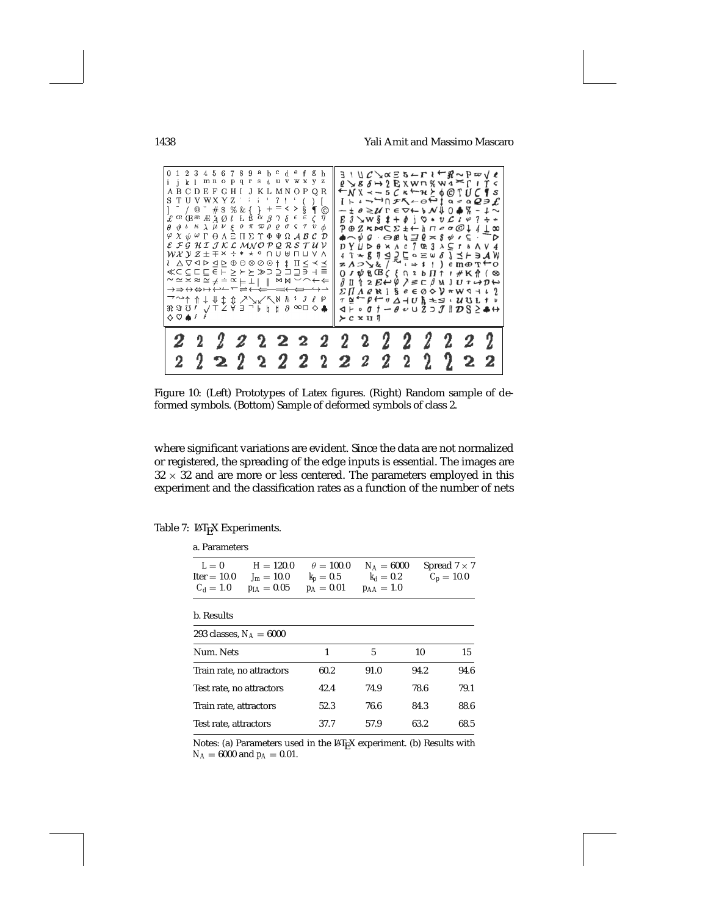1438 Yali Amit and Massimo Mascaro



Figure 10: (Left) Prototypes of Latex figures. (Right) Random sample of deformed symbols. (Bottom) Sample of deformed symbols of class 2.

where significant variations are evident. Since the data are not normalized or registered, the spreading of the edge inputs is essential. The images are  $32 \times 32$  and are more or less centered. The parameters employed in this experiment and the classification rates as a function of the number of nets

Table 7: LATEX Experiments.

| a. Parameters                         |                                                     |                                               |                                               |      |                                     |  |
|---------------------------------------|-----------------------------------------------------|-----------------------------------------------|-----------------------------------------------|------|-------------------------------------|--|
| $L=0$<br>$Iter = 10.0$<br>$C_d = 1.0$ | $H = 120.0$<br>$J_m = 10.0$<br>$p_{I\Delta} = 0.05$ | $\theta = 100.0$<br>$k_p=0.5$<br>$p_A = 0.01$ | $N_A = 6000$<br>$k_d = 0.2$<br>$p_{AA} = 1.0$ |      | Spread $7 \times 7$<br>$C_p = 10.0$ |  |
| b. Results                            |                                                     |                                               |                                               |      |                                     |  |
| 293 classes, $N_A = 6000$             |                                                     |                                               |                                               |      |                                     |  |
| Num. Nets                             |                                                     | 1                                             | 5                                             | 10   | 15                                  |  |
| Train rate, no attractors'            |                                                     | 60.2                                          | 91.0                                          | 94.2 | 94.6                                |  |
| Test rate, no attractors'             |                                                     | 42.4                                          | 74.9                                          | 78.6 | 79.1                                |  |
| Train rate, attractors                |                                                     | 52.3                                          | 76.6                                          | 84.3 | 88.6                                |  |
| Test rate, attractors                 |                                                     | 37.7                                          | 57.9                                          | 63.2 | 68.5                                |  |

Notes: (a) Parameters used in the LAT<sub>E</sub>X experiment. (b) Results with  $N_A = 6000$  and  $p_A = 0.01$ .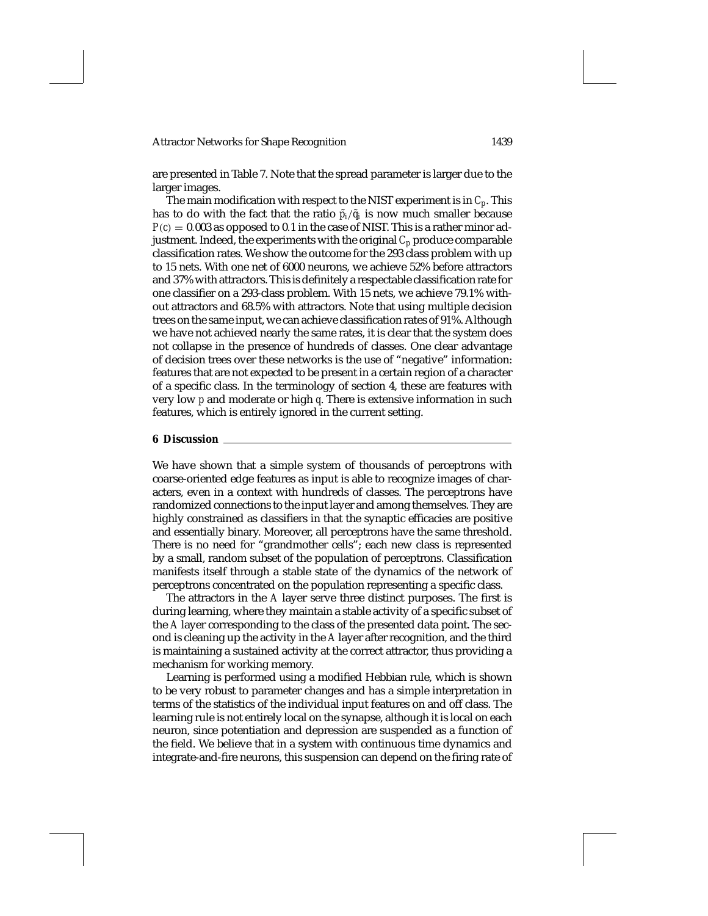are presented in Table 7. Note that the spread parameter is larger due to the larger images.

The main modification with respect to the NIST experiment is in *Cp*. This has to do with the fact that the ratio  $\tilde{p}_i/\tilde{q}_i$  is now much smaller because  $P(c) = 0.003$  as opposed to 0.1 in the case of NIST. This is a rather minor adjustment. Indeed, the experiments with the original  $C_p$  produce comparable classification rates. We show the outcome for the 293 class problem with up to 15 nets. With one net of 6000 neurons, we achieve 52% before attractors and 37% with attractors. This is definitely a respectable classification rate for one classifier on a 293-class problem. With 15 nets, we achieve 79.1% without attractors and 68.5% with attractors. Note that using multiple decision trees on the same input, we can achieve classification rates of 91%. Although we have not achieved nearly the same rates, it is clear that the system does not collapse in the presence of hundreds of classes. One clear advantage of decision trees over these networks is the use of "negative" information: features that are not expected to be present in a certain region of a character of a specific class. In the terminology of section 4, these are features with very low *p* and moderate or high *q*. There is extensive information in such features, which is entirely ignored in the current setting.

### **6 Discussion**

We have shown that a simple system of thousands of perceptrons with coarse-oriented edge features as input is able to recognize images of characters, even in a context with hundreds of classes. The perceptrons have randomized connections to the input layer and among themselves. They are highly constrained as classifiers in that the synaptic efficacies are positive and essentially binary. Moreover, all perceptrons have the same threshold. There is no need for "grandmother cells"; each new class is represented by a small, random subset of the population of perceptrons. Classification manifests itself through a stable state of the dynamics of the network of perceptrons concentrated on the population representing a specific class.

The attractors in the *A* layer serve three distinct purposes. The first is during learning, where they maintain a stable activity of a specific subset of the *A* layer corresponding to the class of the presented data point. The second is cleaning up the activity in the *A* layer after recognition, and the third is maintaining a sustained activity at the correct attractor, thus providing a mechanism for working memory.

Learning is performed using a modified Hebbian rule, which is shown to be very robust to parameter changes and has a simple interpretation in terms of the statistics of the individual input features on and off class. The learning rule is not entirely local on the synapse, although it is local on each neuron, since potentiation and depression are suspended as a function of the field. We believe that in a system with continuous time dynamics and integrate-and-fire neurons, this suspension can depend on the firing rate of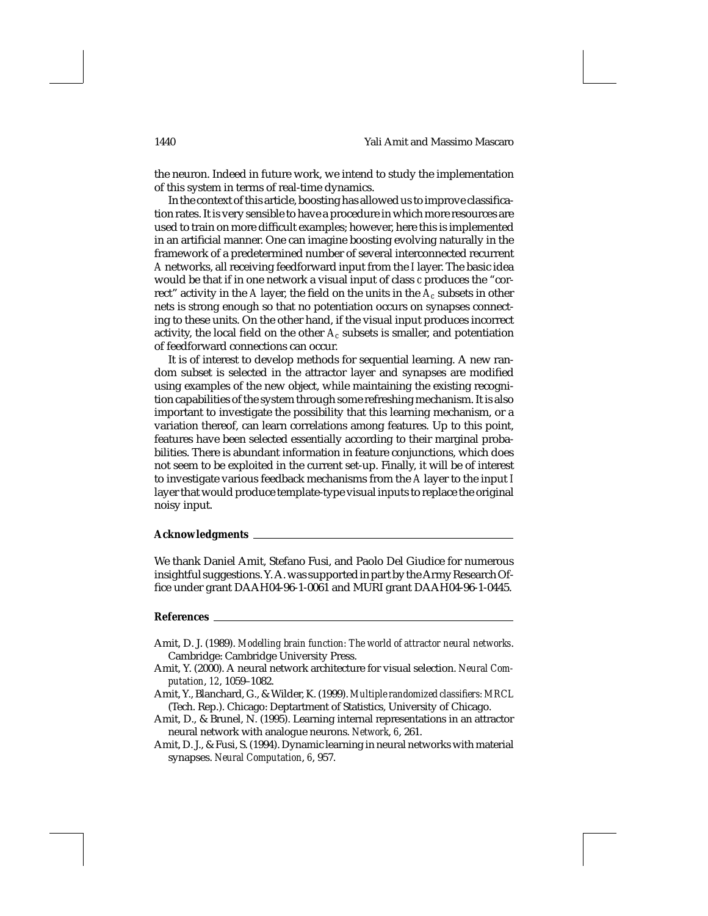the neuron. Indeed in future work, we intend to study the implementation of this system in terms of real-time dynamics.

In the context of this article, boosting has allowed us to improve classification rates. It is very sensible to have a procedure in which more resources are used to train on more difficult examples; however, here this is implemented in an artificial manner. One can imagine boosting evolving naturally in the framework of a predetermined number of several interconnected recurrent *A* networks, all receiving feedforward input from the *I* layer. The basic idea would be that if in one network a visual input of class *c* produces the "correct" activity in the *A* layer, the field on the units in the  $A_c$  subsets in other nets is strong enough so that no potentiation occurs on synapses connecting to these units. On the other hand, if the visual input produces incorrect activity, the local field on the other *Ac* subsets is smaller, and potentiation of feedforward connections can occur.

It is of interest to develop methods for sequential learning. A new random subset is selected in the attractor layer and synapses are modified using examples of the new object, while maintaining the existing recognition capabilities of the system through some refreshing mechanism. It is also important to investigate the possibility that this learning mechanism, or a variation thereof, can learn correlations among features. Up to this point, features have been selected essentially according to their marginal probabilities. There is abundant information in feature conjunctions, which does not seem to be exploited in the current set-up. Finally, it will be of interest to investigate various feedback mechanisms from the *A* layer to the input *I* layer that would produce template-type visual inputs to replace the original noisy input.

# **Acknowledgments**

We thank Daniel Amit, Stefano Fusi, and Paolo Del Giudice for numerous insightful suggestions. Y. A. was supported in part by the Army Research Office under grant DAAH04-96-1-0061 and MURI grant DAAH04-96-1-0445.

### **References**

- Amit, D. J. (1989). *Modelling brain function: The world of attractor neural networks*. Cambridge: Cambridge University Press.
- Amit, Y. (2000). A neural network architecture for visual selection. *Neural Computation*, *12*, 1059–1082.
- Amit, Y., Blanchard, G., & Wilder, K. (1999). *Multiple randomized classifiers: MRCL* (Tech. Rep.). Chicago: Deptartment of Statistics, University of Chicago.
- Amit, D., & Brunel, N. (1995). Learning internal representations in an attractor neural network with analogue neurons. *Network*, *6*, 261.
- Amit, D. J., & Fusi, S. (1994). Dynamic learning in neural networks with material synapses. *Neural Computation*, *6*, 957.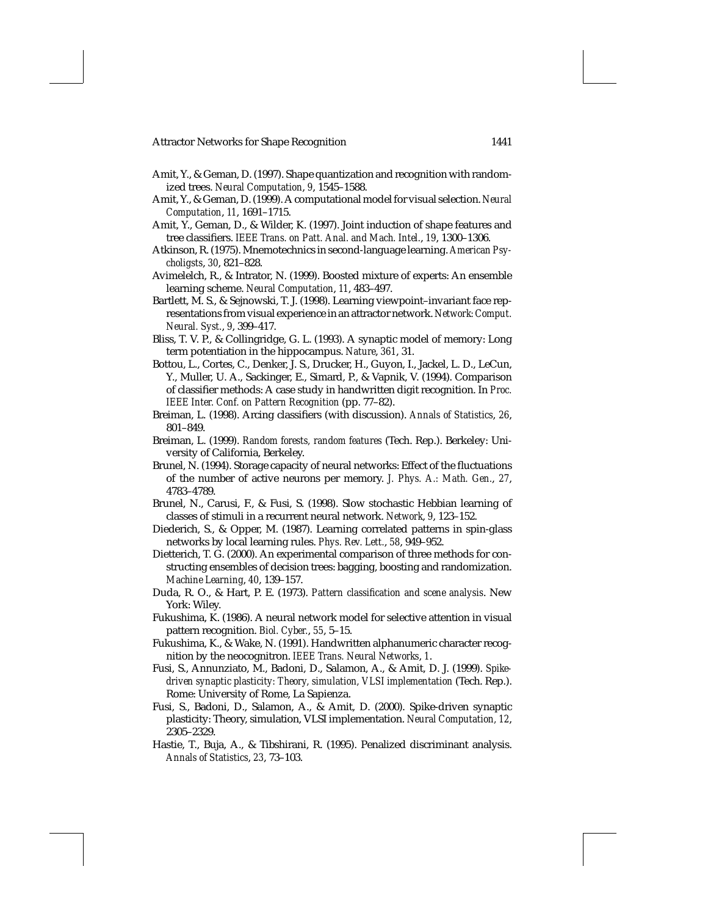- Amit, Y., & Geman, D. (1997). Shape quantization and recognition with randomized trees. *Neural Computation*, *9*, 1545–1588.
- Amit, Y., & Geman, D. (1999). A computational model for visual selection. *Neural Computation*, *11*, 1691–1715.
- Amit, Y., Geman, D., & Wilder, K. (1997). Joint induction of shape features and tree classifiers. *IEEE Trans. on Patt. Anal. and Mach. Intel.*, *19*, 1300–1306.
- Atkinson, R. (1975). Mnemotechnics in second-language learning. *American Psycholigsts*, *30*, 821–828.
- Avimelelch, R., & Intrator, N. (1999). Boosted mixture of experts: An ensemble learning scheme. *Neural Computation*, *11*, 483–497.
- Bartlett, M. S., & Sejnowski, T. J. (1998). Learning viewpoint–invariant face representations from visual experience in an attractor network. *Network: Comput. Neural. Syst.*, *9*, 399–417.
- Bliss, T. V. P., & Collingridge, G. L. (1993). A synaptic model of memory: Long term potentiation in the hippocampus. *Nature*, *361*, 31.
- Bottou, L., Cortes, C., Denker, J. S., Drucker, H., Guyon, I., Jackel, L. D., LeCun, Y., Muller, U. A., Sackinger, E., Simard, P., & Vapnik, V. (1994). Comparison of classifier methods: A case study in handwritten digit recognition. In *Proc. IEEE Inter. Conf. on Pattern Recognition* (pp. 77–82).
- Breiman, L. (1998). Arcing classifiers (with discussion). *Annals of Statistics*, *26*, 801–849.
- Breiman, L. (1999). *Random forests, random features* (Tech. Rep.). Berkeley: University of California, Berkeley.
- Brunel, N. (1994). Storage capacity of neural networks: Effect of the fluctuations of the number of active neurons per memory. *J. Phys. A.: Math. Gen.*, *27*, 4783–4789.
- Brunel, N., Carusi, F., & Fusi, S. (1998). Slow stochastic Hebbian learning of classes of stimuli in a recurrent neural network. *Network*, *9*, 123–152.
- Diederich, S., & Opper, M. (1987). Learning correlated patterns in spin-glass networks by local learning rules. *Phys. Rev. Lett.*, *58*, 949–952.
- Dietterich, T. G. (2000). An experimental comparison of three methods for constructing ensembles of decision trees: bagging, boosting and randomization. *Machine Learning*, *40*, 139–157.
- Duda, R. O., & Hart, P. E. (1973). *Pattern classification and scene analysis*. New York: Wiley.
- Fukushima, K. (1986). A neural network model for selective attention in visual pattern recognition. *Biol. Cyber.*, *55*, 5–15.
- Fukushima, K., & Wake, N. (1991). Handwritten alphanumeric character recognition by the neocognitron. *IEEE Trans. Neural Networks*, *1*.
- Fusi, S., Annunziato, M., Badoni, D., Salamon, A., & Amit, D. J. (1999). *Spikedriven synaptic plasticity: Theory, simulation, VLSI implementation* (Tech. Rep.). Rome: University of Rome, La Sapienza.
- Fusi, S., Badoni, D., Salamon, A., & Amit, D. (2000). Spike-driven synaptic plasticity: Theory, simulation, VLSI implementation. *Neural Computation, 12*, 2305–2329.
- Hastie, T., Buja, A., & Tibshirani, R. (1995). Penalized discriminant analysis. *Annals of Statistics*, *23*, 73–103.